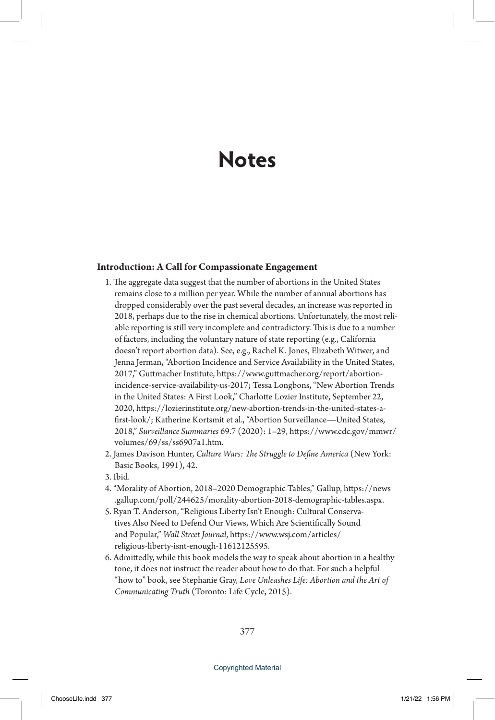# **Notes**

## **Introduction: A Call for Compassionate Engagement**

- 1. The aggregate data suggest that the number of abortions in the United States remains close to a million per year. While the number of annual abortions has dropped considerably over the past several decades, an increase was reported in 2018, perhaps due to the rise in chemical abortions. Unfortunately, the most reliable reporting is still very incomplete and contradictory. This is due to a number of factors, including the voluntary nature of state reporting (e.g., California doesn't report abortion data). See, e.g., Rachel K. Jones, Elizabeth Witwer, and Jenna Jerman, "Abortion Incidence and Service Availability in the United States, 2017," Guttmacher Institute, https://www.guttmacher.org/report/abortionincidence-service-availability-us-2017; Tessa Longbons, "New Abortion Trends in the United States: A First Look," Charlotte Lozier Institute, September 22, 2020, https://lozierinstitute.org/new-abortion-trends-in-the-united-states-afirst-look/; Katherine Kortsmit et al., "Abortion Surveillance—United States, 2018," *Surveillance Summaries* 69.7 (2020): 1–29, https://www.cdc.gov/mmwr/ volumes/69/ss/ss6907a1.htm.
- 2. James Davison Hunter, *Culture Wars: The Struggle to Define America* (New York: Basic Books, 1991), 42.
- 3. Ibid.
- 4. "Morality of Abortion, 2018–2020 Demographic Tables," Gallup, https://news .gallup.com/poll/244625/morality-abortion-2018-demographic-tables.aspx.
- 5. Ryan T. Anderson, "Religious Liberty Isn't Enough: Cultural Conservatives Also Need to Defend Our Views, Which Are Scientifically Sound and Popular," *Wall Street Journal*, https://www.wsj.com/articles/ religious-liberty-isnt-enough-11612125595.
- 6. Admittedly, while this book models the way to speak about abortion in a healthy tone, it does not instruct the reader about how to do that. For such a helpful "how to" book, see Stephanie Gray, *Love Unleashes Life: Abortion and the Art of Communicating Truth* (Toronto: Life Cycle, 2015).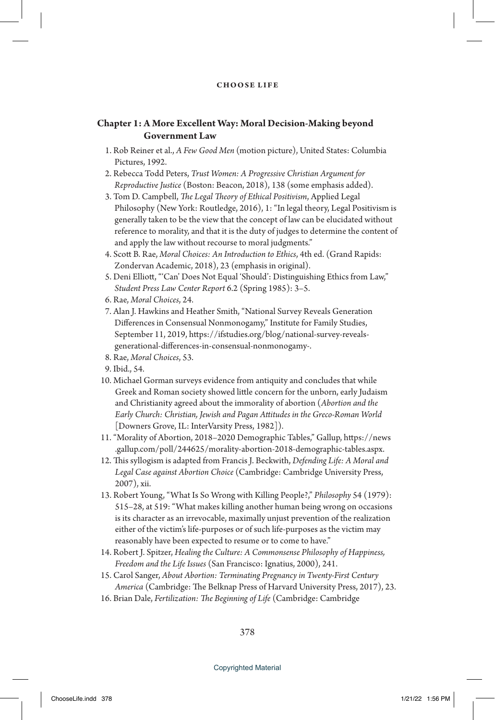# **Chapter 1: A More Excellent Way: Moral Decision-Making beyond Government Law**

- 1. Rob Reiner et al., *A Few Good Men* (motion picture), United States: Columbia Pictures, 1992.
- 2. Rebecca Todd Peters, *Trust Women: A Progressive Christian Argument for Reproductive Justice* (Boston: Beacon, 2018), 138 (some emphasis added).
- 3. Tom D. Campbell, *The Legal Theory of Ethical Positivism*, Applied Legal Philosophy (New York: Routledge, 2016), 1: "In legal theory, Legal Positivism is generally taken to be the view that the concept of law can be elucidated without reference to morality, and that it is the duty of judges to determine the content of and apply the law without recourse to moral judgments."
- 4. Scott B. Rae, *Moral Choices: An Introduction to Ethics*, 4th ed. (Grand Rapids: Zondervan Academic, 2018), 23 (emphasis in original).
- 5. Deni Elliott, "'Can' Does Not Equal 'Should': Distinguishing Ethics from Law," *Student Press Law Center Report* 6.2 (Spring 1985): 3–5.
- 6. Rae, *Moral Choices*, 24.
- 7. Alan J. Hawkins and Heather Smith, "National Survey Reveals Generation Differences in Consensual Nonmonogamy," Institute for Family Studies, September 11, 2019, https://ifstudies.org/blog/national-survey-revealsgenerational-differences-in-consensual-nonmonogamy-.
- 8. Rae, *Moral Choices*, 53.
- 9. Ibid., 54.
- 10. Michael Gorman surveys evidence from antiquity and concludes that while Greek and Roman society showed little concern for the unborn, early Judaism and Christianity agreed about the immorality of abortion (*Abortion and the Early Church: Christian, Jewish and Pagan Attitudes in the Greco-Roman World* [Downers Grove, IL: InterVarsity Press, 1982]).
- 11. "Morality of Abortion, 2018–2020 Demographic Tables," Gallup, https://news .gallup.com/poll/244625/morality-abortion-2018-demographic-tables.aspx.
- 12. This syllogism is adapted from Francis J. Beckwith, *Defending Life: A Moral and Legal Case against Abortion Choice* (Cambridge: Cambridge University Press, 2007), xii.
- 13. Robert Young, "What Is So Wrong with Killing People?," *Philosophy* 54 (1979): 515–28, at 519: "What makes killing another human being wrong on occasions is its character as an irrevocable, maximally unjust prevention of the realization either of the victim's life-purposes or of such life-purposes as the victim may reasonably have been expected to resume or to come to have."
- 14. Robert J. Spitzer, *Healing the Culture: A Commonsense Philosophy of Happiness, Freedom and the Life Issues* (San Francisco: Ignatius, 2000), 241.
- 15. Carol Sanger, *About Abortion: Terminating Pregnancy in Twenty-First Century America* (Cambridge: The Belknap Press of Harvard University Press, 2017), 23.
- 16. Brian Dale, *Fertilization: The Beginning of Life* (Cambridge: Cambridge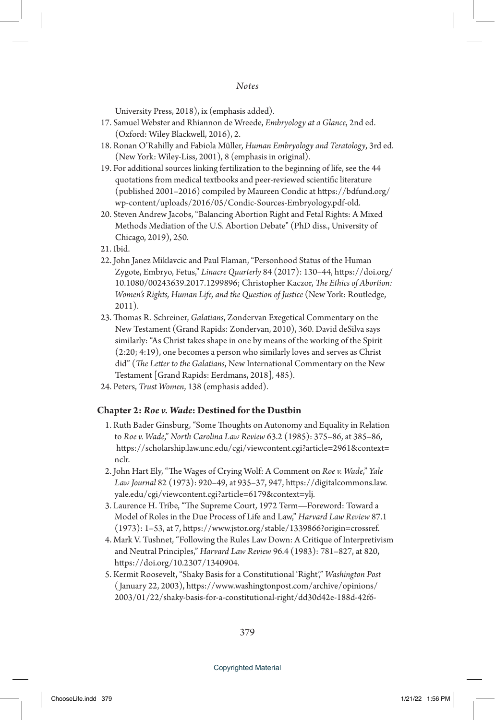University Press, 2018), ix (emphasis added).

- 17. Samuel Webster and Rhiannon de Wreede, *Embryology at a Glance*, 2nd ed. (Oxford: Wiley Blackwell, 2016), 2.
- 18. Ronan O'Rahilly and Fabiola Müller, *Human Embryology and Teratology*, 3rd ed. (New York: Wiley-Liss, 2001), 8 (emphasis in original).
- 19. For additional sources linking fertilization to the beginning of life, see the 44 quotations from medical textbooks and peer-reviewed scientific literature (published 2001–2016) compiled by Maureen Condic at https://bdfund.org/ wp-content/uploads/2016/05/Condic-Sources-Embryology.pdf-old.
- 20. Steven Andrew Jacobs, "Balancing Abortion Right and Fetal Rights: A Mixed Methods Mediation of the U.S. Abortion Debate" (PhD diss., University of Chicago, 2019), 250.
- 21. Ibid.
- 22. John Janez Miklavcic and Paul Flaman, "Personhood Status of the Human Zygote, Embryo, Fetus," *Linacre Quarterly* 84 (2017): 130–44, https://doi.org/ 10.1080/00243639.2017.1299896; Christopher Kaczor, *The Ethics of Abortion: Women's Rights, Human Life, and the Question of Justice* (New York: Routledge, 2011).
- 23. Thomas R. Schreiner, *Galatians*, Zondervan Exegetical Commentary on the New Testament (Grand Rapids: Zondervan, 2010), 360. David deSilva says similarly: "As Christ takes shape in one by means of the working of the Spirit (2:20; 4:19), one becomes a person who similarly loves and serves as Christ did" (*The Letter to the Galatians*, New International Commentary on the New Testament [Grand Rapids: Eerdmans, 2018], 485).
- 24. Peters, *Trust Women*, 138 (emphasis added).

#### **Chapter 2:** *Roe v. Wade***: Destined for the Dustbin**

- 1. Ruth Bader Ginsburg, "Some Thoughts on Autonomy and Equality in Relation to *Roe v. Wade*," *North Carolina Law Review* 63.2 (1985): 375–86, at 385–86, https://scholarship.law.unc.edu/cgi/viewcontent.cgi?article=2961&context= nclr.
- 2. John Hart Ely, "The Wages of Crying Wolf: A Comment on *Roe v. Wade*," *Yale Law Journal* 82 (1973): 920–49, at 935–37, 947, https://digitalcommons.law. yale.edu/cgi/viewcontent.cgi?article=6179&context=ylj.
- 3. Laurence H. Tribe, "The Supreme Court, 1972 Term—Foreword: Toward a Model of Roles in the Due Process of Life and Law," *Harvard Law Review* 87.1 (1973): 1–53, at 7, https://www.jstor.org/stable/1339866?origin=crossref.
- 4. Mark V. Tushnet, "Following the Rules Law Down: A Critique of Interpretivism and Neutral Principles," *Harvard Law Review* 96.4 (1983): 781–827, at 820, https://doi.org/10.2307/1340904.
- 5. Kermit Roosevelt, "Shaky Basis for a Constitutional 'Right'," *Washington Post* ( January 22, 2003), https://www.washingtonpost.com/archive/opinions/ 2003/01/22/shaky-basis-for-a-constitutional-right/dd30d42e-188d-42f6-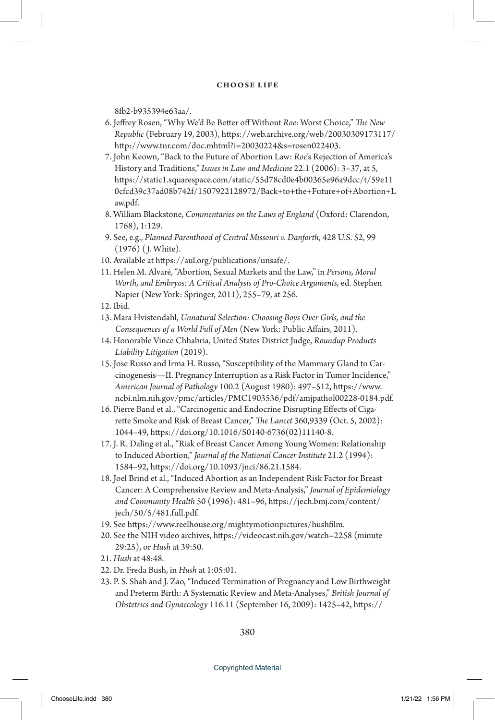8fb2-b935394e63aa/.

- 6. Jeffrey Rosen, "Why We'd Be Better off Without *Roe*: Worst Choice," *The New Republic* (February 19, 2003), https://web.archive.org/web/20030309173117/ http://www.tnr.com/doc.mhtml?i=20030224&s=rosen022403.
- 7. John Keown, "Back to the Future of Abortion Law: *Roe*'s Rejection of America's History and Traditions," *Issues in Law and Medicine* 22.1 (2006): 3–37, at 5, https://static1.squarespace.com/static/55d78cd0e4b00365e96a9dcc/t/59e11 0cfcd39c37ad08b742f/1507922128972/Back+to+the+Future+of+Abortion+L aw.pdf.
- 8. William Blackstone, *Commentaries on the Laws of England* (Oxford: Clarendon, 1768), 1:129.
- 9. See, e.g., *Planned Parenthood of Central Missouri v. Danforth*, 428 U.S. 52, 99 (1976) ( J. White).
- 10. Available at https://aul.org/publications/unsafe/.
- 11. Helen M. Alvaré, "Abortion, Sexual Markets and the Law," in *Persons, Moral Worth, and Embryos: A Critical Analysis of Pro-Choice Arguments*, ed. Stephen Napier (New York: Springer, 2011), 255–79, at 256.
- 12. Ibid.
- 13. Mara Hvistendahl, *Unnatural Selection: Choosing Boys Over Girls, and the Consequences of a World Full of Men* (New York: Public Affairs, 2011).
- 14. Honorable Vince Chhabria, United States District Judge, *Roundup Products Liability Litigation* (2019).
- 15. Jose Russo and Irma H. Russo, "Susceptibility of the Mammary Gland to Carcinogenesis—II. Pregnancy Interruption as a Risk Factor in Tumor Incidence," *American Journal of Pathology* 100.2 (August 1980): 497–512, https://www. ncbi.nlm.nih.gov/pmc/articles/PMC1903536/pdf/amjpathol00228-0184.pdf.
- 16. Pierre Band et al., "Carcinogenic and Endocrine Disrupting Effects of Cigarette Smoke and Risk of Breast Cancer," *The Lancet* 360,9339 (Oct. 5, 2002): 1044–49, https://doi.org/10.1016/S0140-6736(02)11140-8.
- 17. J. R. Daling et al., "Risk of Breast Cancer Among Young Women: Relationship to Induced Abortion," *Journal of the National Cancer Institute* 21.2 (1994): 1584–92, https://doi.org/10.1093/jnci/86.21.1584.
- 18. Joel Brind et al., "Induced Abortion as an Independent Risk Factor for Breast Cancer: A Comprehensive Review and Meta-Analysis," *Journal of Epidemiology and Community Health* 50 (1996): 481–96, https://jech.bmj.com/content/ jech/50/5/481.full.pdf.
- 19. See https://www.reelhouse.org/mightymotionpictures/hushfilm.
- 20. See the NIH video archives, https://videocast.nih.gov/watch=2258 (minute 29:25), or *Hush* at 39:50.
- 21. *Hush* at 48:48.
- 22. Dr. Freda Bush, in *Hush* at 1:05:01.
- 23. P. S. Shah and J. Zao, "Induced Termination of Pregnancy and Low Birthweight and Preterm Birth: A Systematic Review and Meta-Analyses," *British Journal of Obstetrics and Gynaecology* 116.11 (September 16, 2009): 1425–42, https://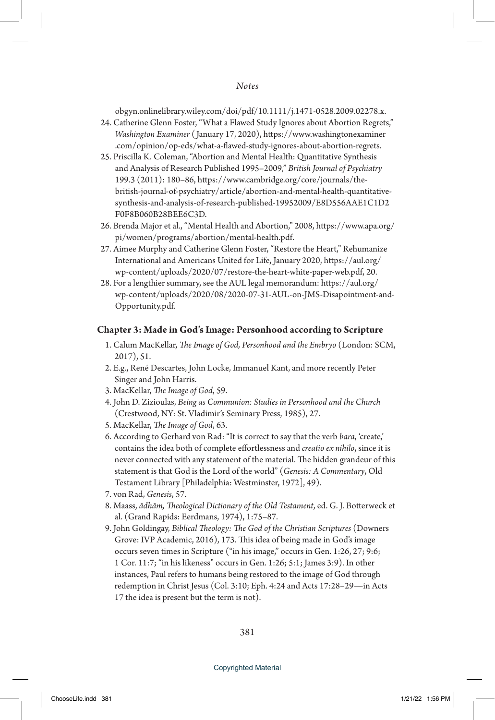obgyn.onlinelibrary.wiley.com/doi/pdf/10.1111/j.1471-0528.2009.02278.x.

- 24. Catherine Glenn Foster, "What a Flawed Study Ignores about Abortion Regrets," *Washington Examiner* ( January 17, 2020), https://www.washingtonexaminer .com/opinion/op-eds/what-a-flawed-study-ignores-about-abortion-regrets.
- 25. Priscilla K. Coleman, "Abortion and Mental Health: Quantitative Synthesis and Analysis of Research Published 1995–2009," *British Journal of Psychiatry* 199.3 (2011): 180–86, https://www.cambridge.org/core/journals/thebritish-journal-of-psychiatry/article/abortion-and-mental-health-quantitativesynthesis-and-analysis-of-research-published-19952009/E8D556AAE1C1D2 F0F8B060B28BEE6C3D.
- 26. Brenda Major et al., "Mental Health and Abortion," 2008, https://www.apa.org/ pi/women/programs/abortion/mental-health.pdf.
- 27. Aimee Murphy and Catherine Glenn Foster, "Restore the Heart," Rehumanize International and Americans United for Life, January 2020, https://aul.org/ wp-content/uploads/2020/07/restore-the-heart-white-paper-web.pdf, 20.
- 28. For a lengthier summary, see the AUL legal memorandum: https://aul.org/ wp-content/uploads/2020/08/2020-07-31-AUL-on-JMS-Disapointment-and-Opportunity.pdf.

## **Chapter 3: Made in God's Image: Personhood according to Scripture**

- 1. Calum MacKellar, *The Image of God, Personhood and the Embryo* (London: SCM, 2017), 51.
- 2. E.g., René Descartes, John Locke, Immanuel Kant, and more recently Peter Singer and John Harris.
- 3. MacKellar, *The Image of God*, 59.
- 4. John D. Zizioulas, *Being as Communion: Studies in Personhood and the Church*  (Crestwood, NY: St. Vladimir's Seminary Press, 1985), 27.
- 5. MacKellar, *The Image of God*, 63.
- 6. According to Gerhard von Rad: "It is correct to say that the verb *bara*, 'create,' contains the idea both of complete effortlessness and *creatio ex nihilo*, since it is never connected with any statement of the material. The hidden grandeur of this statement is that God is the Lord of the world" (*Genesis: A Commentary*, Old Testament Library [Philadelphia: Westminster, 1972], 49).
- 7. von Rad, *Genesis*, 57.
- 8. Maass, *ādhām, Theological Dictionary of the Old Testament*, ed. G. J. Botterweck et al. (Grand Rapids: Eerdmans, 1974), 1:75–87.
- 9. John Goldingay, *Biblical Theology: The God of the Christian Scriptures* (Downers Grove: IVP Academic, 2016), 173. This idea of being made in God's image occurs seven times in Scripture ("in his image," occurs in Gen. 1:26, 27; 9:6; 1 Cor. 11:7; "in his likeness" occurs in Gen. 1:26; 5:1; James 3:9). In other instances, Paul refers to humans being restored to the image of God through redemption in Christ Jesus (Col. 3:10; Eph. 4:24 and Acts 17:28–29—in Acts 17 the idea is present but the term is not).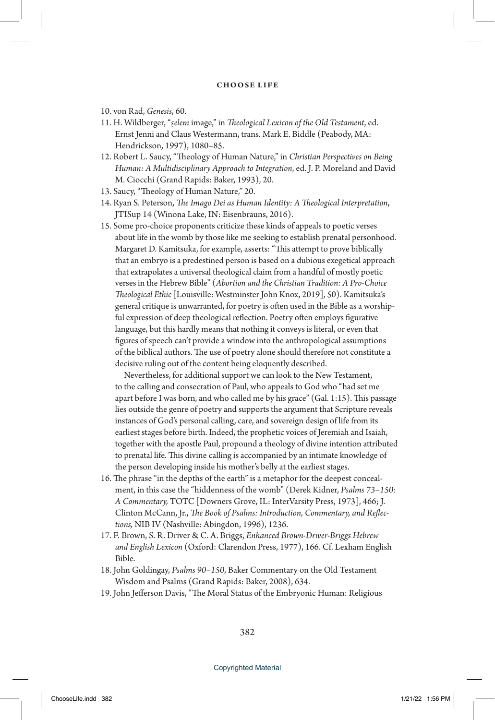- 10. von Rad, *Genesis*, 60.
- 11. H. Wildberger, "*s.elem* image," in *Theological Lexicon of the Old Testament*, ed. Ernst Jenni and Claus Westermann, trans. Mark E. Biddle (Peabody, MA: Hendrickson, 1997), 1080–85.
- 12. Robert L. Saucy, "Theology of Human Nature," in *Christian Perspectives on Being Human: A Multidisciplinary Approach to Integration*, ed. J. P. Moreland and David M. Ciocchi (Grand Rapids: Baker, 1993), 20.
- 13. Saucy, "Theology of Human Nature," 20.
- 14. Ryan S. Peterson, *The Imago Dei as Human Identity: A Theological Interpretation*, JTISup 14 (Winona Lake, IN: Eisenbrauns, 2016).
- 15. Some pro-choice proponents criticize these kinds of appeals to poetic verses about life in the womb by those like me seeking to establish prenatal personhood. Margaret D. Kamitsuka, for example, asserts: "This attempt to prove biblically that an embryo is a predestined person is based on a dubious exegetical approach that extrapolates a universal theological claim from a handful of mostly poetic verses in the Hebrew Bible" (*Abortion and the Christian Tradition: A Pro-Choice Theological Ethic* [Louisville: Westminster John Knox, 2019], 50). Kamitsuka's general critique is unwarranted, for poetry is often used in the Bible as a worshipful expression of deep theological reflection. Poetry often employs figurative language, but this hardly means that nothing it conveys is literal, or even that figures of speech can't provide a window into the anthropological assumptions of the biblical authors. The use of poetry alone should therefore not constitute a decisive ruling out of the content being eloquently described.

 Nevertheless, for additional support we can look to the New Testament, to the calling and consecration of Paul, who appeals to God who "had set me apart before I was born, and who called me by his grace" (Gal. 1:15). This passage lies outside the genre of poetry and supports the argument that Scripture reveals instances of God's personal calling, care, and sovereign design of life from its earliest stages before birth. Indeed, the prophetic voices of Jeremiah and Isaiah, together with the apostle Paul, propound a theology of divine intention attributed to prenatal life. This divine calling is accompanied by an intimate knowledge of the person developing inside his mother's belly at the earliest stages.

- 16. The phrase "in the depths of the earth" is a metaphor for the deepest concealment, in this case the "hiddenness of the womb" (Derek Kidner, *Psalms 73–150: A Commentary,* TOTC [Downers Grove, IL: InterVarsity Press, 1973], 466; J. Clinton McCann, Jr., *The Book of Psalms: Introduction, Commentary, and Reflections,* NIB IV (Nashville: Abingdon, 1996), 1236.
- 17. F. Brown, S. R. Driver & C. A. Briggs, *Enhanced Brown-Driver-Briggs Hebrew and English Lexicon* (Oxford: Clarendon Press, 1977), 166. Cf. Lexham English Bible.
- 18. John Goldingay, *Psalms 90–150*, Baker Commentary on the Old Testament Wisdom and Psalms (Grand Rapids: Baker, 2008), 634.
- 19. John Jefferson Davis, "The Moral Status of the Embryonic Human: Religious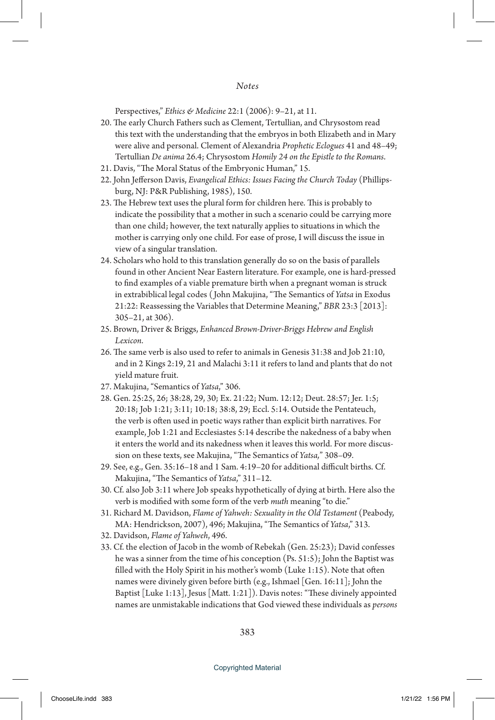## *Notes*

Perspectives," *Ethics & Medicine* 22:1 (2006): 9–21, at 11.

- 20. The early Church Fathers such as Clement, Tertullian, and Chrysostom read this text with the understanding that the embryos in both Elizabeth and in Mary were alive and personal. Clement of Alexandria *Prophetic Eclogues* 41 and 48–49; Tertullian *De anima* 26.4; Chrysostom *Homily 24 on the Epistle to the Romans*.
- 21. Davis, "The Moral Status of the Embryonic Human," 15.
- 22. John Jefferson Davis, *Evangelical Ethics: Issues Facing the Church Today* (Phillipsburg, NJ: P&R Publishing, 1985), 150.
- 23. The Hebrew text uses the plural form for children here. This is probably to indicate the possibility that a mother in such a scenario could be carrying more than one child; however, the text naturally applies to situations in which the mother is carrying only one child. For ease of prose, I will discuss the issue in view of a singular translation.
- 24. Scholars who hold to this translation generally do so on the basis of parallels found in other Ancient Near Eastern literature. For example, one is hard-pressed to find examples of a viable premature birth when a pregnant woman is struck in extrabiblical legal codes ( John Makujina, "The Semantics of *Yatsa* in Exodus 21:22: Reassessing the Variables that Determine Meaning," *BBR* 23:3 [2013]: 305–21, at 306).
- 25. Brown, Driver & Briggs, *Enhanced Brown-Driver-Briggs Hebrew and English Lexicon*.
- 26. The same verb is also used to refer to animals in Genesis 31:38 and Job 21:10, and in 2 Kings 2:19, 21 and Malachi 3:11 it refers to land and plants that do not yield mature fruit.
- 27. Makujina, "Semantics of *Yatsa*," 306.
- 28. Gen. 25:25, 26; 38:28, 29, 30; Ex. 21:22; Num. 12:12; Deut. 28:57; Jer. 1:5; 20:18; Job 1:21; 3:11; 10:18; 38:8, 29; Eccl. 5:14. Outside the Pentateuch, the verb is often used in poetic ways rather than explicit birth narratives. For example, Job 1:21 and Ecclesiastes 5:14 describe the nakedness of a baby when it enters the world and its nakedness when it leaves this world. For more discussion on these texts, see Makujina, "The Semantics of *Yatsa,*" 308–09.
- 29. See, e.g., Gen. 35:16–18 and 1 Sam. 4:19–20 for additional difficult births. Cf. Makujina, "The Semantics of *Yatsa*," 311–12.
- 30. Cf. also Job 3:11 where Job speaks hypothetically of dying at birth. Here also the verb is modified with some form of the verb *muth* meaning "to die."
- 31. Richard M. Davidson, *Flame of Yahweh: Sexuality in the Old Testament* (Peabody, MA: Hendrickson, 2007), 496; Makujina, "The Semantics of *Yatsa*," 313.
- 32. Davidson, *Flame of Yahweh*, 496.
- 33. Cf. the election of Jacob in the womb of Rebekah (Gen. 25:23); David confesses he was a sinner from the time of his conception (Ps. 51:5); John the Baptist was filled with the Holy Spirit in his mother's womb (Luke 1:15). Note that often names were divinely given before birth (e.g., Ishmael [Gen. 16:11]; John the Baptist [Luke 1:13], Jesus [Matt. 1:21]). Davis notes: "These divinely appointed names are unmistakable indications that God viewed these individuals as *persons*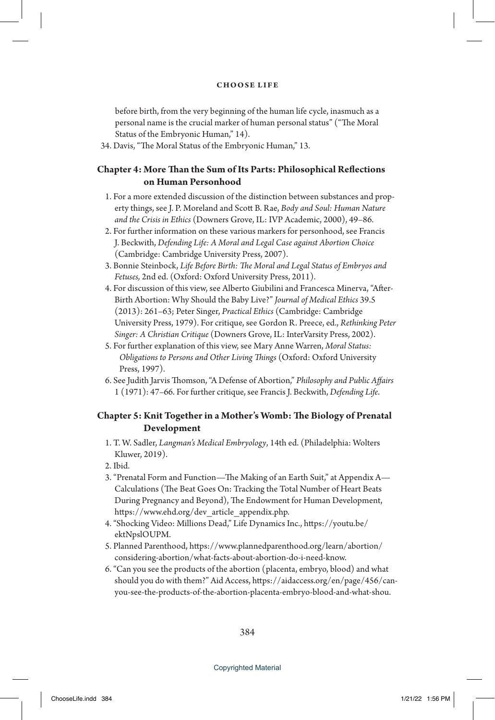before birth, from the very beginning of the human life cycle, inasmuch as a personal name is the crucial marker of human personal status" ("The Moral Status of the Embryonic Human," 14).

34. Davis, "The Moral Status of the Embryonic Human," 13.

# **Chapter 4: More Than the Sum of Its Parts: Philosophical Reflections on Human Personhood**

- 1. For a more extended discussion of the distinction between substances and property things, see J. P. Moreland and Scott B. Rae, *Body and Soul: Human Nature and the Crisis in Ethics* (Downers Grove, IL: IVP Academic, 2000), 49–86.
- 2. For further information on these various markers for personhood, see Francis J. Beckwith, *Defending Life: A Moral and Legal Case against Abortion Choice* (Cambridge: Cambridge University Press, 2007).
- 3. Bonnie Steinbock, *Life Before Birth: The Moral and Legal Status of Embryos and Fetuses,* 2nd ed. (Oxford: Oxford University Press, 2011).
- 4. For discussion of this view, see Alberto Giubilini and Francesca Minerva, "After-Birth Abortion: Why Should the Baby Live?" *Journal of Medical Ethics* 39.5 (2013): 261–63; Peter Singer, *Practical Ethics* (Cambridge: Cambridge University Press, 1979). For critique, see Gordon R. Preece, ed., *Rethinking Peter Singer: A Christian Critique* (Downers Grove, IL: InterVarsity Press, 2002).
- 5. For further explanation of this view, see Mary Anne Warren, *Moral Status: Obligations to Persons and Other Living Things* (Oxford: Oxford University Press, 1997).
- 6. See Judith Jarvis Thomson, "A Defense of Abortion," *Philosophy and Public Affairs* 1 (1971): 47–66. For further critique, see Francis J. Beckwith, *Defending Life*.

# **Chapter 5: Knit Together in a Mother's Womb: The Biology of Prenatal Development**

- 1. T. W. Sadler, *Langman's Medical Embryology*, 14th ed. (Philadelphia: Wolters Kluwer, 2019).
- 2. Ibid.
- 3. "Prenatal Form and Function—The Making of an Earth Suit," at Appendix A— Calculations (The Beat Goes On: Tracking the Total Number of Heart Beats During Pregnancy and Beyond), The Endowment for Human Development, https://www.ehd.org/dev\_article\_appendix.php.
- 4. "Shocking Video: Millions Dead," Life Dynamics Inc., https://youtu.be/ ektNpslOUPM.
- 5. Planned Parenthood, https://www.plannedparenthood.org/learn/abortion/ considering-abortion/what-facts-about-abortion-do-i-need-know.
- 6. "Can you see the products of the abortion (placenta, embryo, blood) and what should you do with them?" Aid Access, https://aidaccess.org/en/page/456/canyou-see-the-products-of-the-abortion-placenta-embryo-blood-and-what-shou.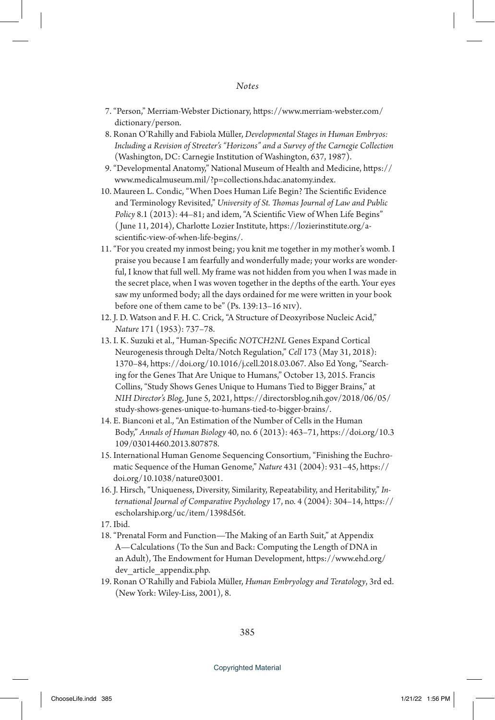- 7. "Person," Merriam-Webster Dictionary, https://www.merriam-webster.com/ dictionary/person.
- 8. Ronan O'Rahilly and Fabiola Müller, *Developmental Stages in Human Embryos: Including a Revision of Streeter's "Horizons" and a Survey of the Carnegie Collection* (Washington, DC: Carnegie Institution of Washington, 637, 1987).
- 9. "Developmental Anatomy," National Museum of Health and Medicine, https:// www.medicalmuseum.mil/?p=collections.hdac.anatomy.index.
- 10. Maureen L. Condic, "When Does Human Life Begin? The Scientific Evidence and Terminology Revisited," *University of St. Thomas Journal of Law and Public Policy* 8.1 (2013): 44–81; and idem, "A Scientific View of When Life Begins" ( June 11, 2014), Charlotte Lozier Institute, https://lozierinstitute.org/ascientific-view-of-when-life-begins/.
- 11. "For you created my inmost being; you knit me together in my mother's womb. I praise you because I am fearfully and wonderfully made; your works are wonderful, I know that full well. My frame was not hidden from you when I was made in the secret place, when I was woven together in the depths of the earth. Your eyes saw my unformed body; all the days ordained for me were written in your book before one of them came to be" (Ps. 139:13-16 NIV).
- 12. J. D. Watson and F. H. C. Crick, "A Structure of Deoxyribose Nucleic Acid," *Nature* 171 (1953): 737–78.
- 13. I. K. Suzuki et al., "Human-Specific *NOTCH2NL* Genes Expand Cortical Neurogenesis through Delta/Notch Regulation," *Cell* 173 (May 31, 2018): 1370–84, https://doi.org/10.1016/j.cell.2018.03.067. Also Ed Yong, "Searching for the Genes That Are Unique to Humans," October 13, 2015. Francis Collins, "Study Shows Genes Unique to Humans Tied to Bigger Brains," at *NIH Director's Blog*, June 5, 2021, https://directorsblog.nih.gov/2018/06/05/ study-shows-genes-unique-to-humans-tied-to-bigger-brains/.
- 14. E. Bianconi et al., "An Estimation of the Number of Cells in the Human Body," *Annals of Human Biology* 40, no. 6 (2013): 463–71, https://doi.org/10.3 109/03014460.2013.807878.
- 15. International Human Genome Sequencing Consortium, "Finishing the Euchromatic Sequence of the Human Genome," *Nature* 431 (2004): 931–45, https:// doi.org/10.1038/nature03001.
- 16. J. Hirsch, "Uniqueness, Diversity, Similarity, Repeatability, and Heritability," *International Journal of Comparative Psychology* 17, no. 4 (2004): 304–14, https:// escholarship.org/uc/item/1398d56t.
- 17. Ibid.
- 18. "Prenatal Form and Function—The Making of an Earth Suit," at Appendix A—Calculations (To the Sun and Back: Computing the Length of DNA in an Adult), The Endowment for Human Development, https://www.ehd.org/ dev article appendix.php.
- 19. Ronan O'Rahilly and Fabiola Müller, *Human Embryology and Teratology*, 3rd ed. (New York: Wiley-Liss, 2001), 8.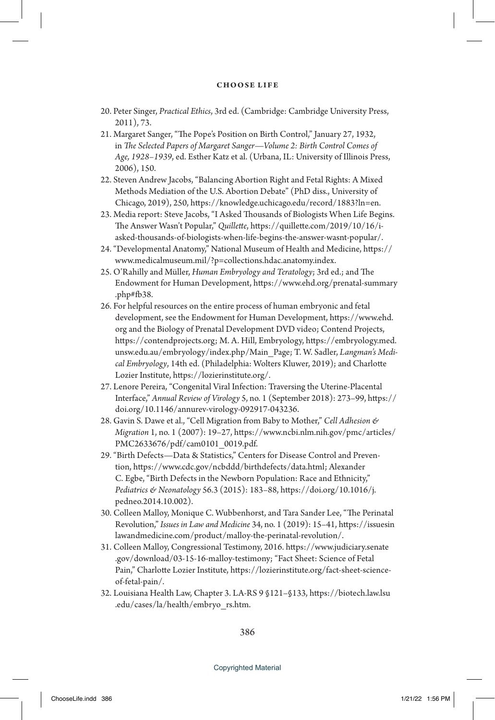- 20. Peter Singer, *Practical Ethics*, 3rd ed. (Cambridge: Cambridge University Press, 2011), 73.
- 21. Margaret Sanger, "The Pope's Position on Birth Control," January 27, 1932, in *The Selected Papers of Margaret Sanger—Volume 2: Birth Control Comes of Age, 1928–1939*, ed. Esther Katz et al. (Urbana, IL: University of Illinois Press, 2006), 150.
- 22. Steven Andrew Jacobs, "Balancing Abortion Right and Fetal Rights: A Mixed Methods Mediation of the U.S. Abortion Debate" (PhD diss., University of Chicago, 2019), 250, https://knowledge.uchicago.edu/record/1883?ln=en.
- 23. Media report: Steve Jacobs, "I Asked Thousands of Biologists When Life Begins. The Answer Wasn't Popular," *Quillette*, https://quillette.com/2019/10/16/iasked-thousands-of-biologists-when-life-begins-the-answer-wasnt-popular/.
- 24. "Developmental Anatomy," National Museum of Health and Medicine, https:// www.medicalmuseum.mil/?p=collections.hdac.anatomy.index.
- 25. O'Rahilly and Müller, *Human Embryology and Teratology*; 3rd ed.; and The Endowment for Human Development, https://www.ehd.org/prenatal-summary .php#fb38.
- 26. For helpful resources on the entire process of human embryonic and fetal development, see the Endowment for Human Development, https://www.ehd. org and the Biology of Prenatal Development DVD video; Contend Projects, https://contendprojects.org; M. A. Hill, Embryology, https://embryology.med. unsw.edu.au/embryology/index.php/Main\_Page; T. W. Sadler, *Langman's Medical Embryology*, 14th ed. (Philadelphia: Wolters Kluwer, 2019); and Charlotte Lozier Institute, https://lozierinstitute.org/.
- 27. Lenore Pereira, "Congenital Viral Infection: Traversing the Uterine-Placental Interface," *Annual Review of Virology* 5, no. 1 (September 2018): 273–99, https:// doi.org/10.1146/annurev-virology-092917-043236.
- 28. Gavin S. Dawe et al., "Cell Migration from Baby to Mother," *Cell Adhesion & Migration* 1, no. 1 (2007): 19–27, https://www.ncbi.nlm.nih.gov/pmc/articles/ PMC2633676/pdf/cam0101\_0019.pdf.
- 29. "Birth Defects—Data & Statistics," Centers for Disease Control and Prevention, https://www.cdc.gov/ncbddd/birthdefects/data.html; Alexander C. Egbe, "Birth Defects in the Newborn Population: Race and Ethnicity," *Pediatrics & Neonatology* 56.3 (2015): 183–88, https://doi.org/10.1016/j. pedneo.2014.10.002).
- 30. Colleen Malloy, Monique C. Wubbenhorst, and Tara Sander Lee, "The Perinatal Revolution," *Issues in Law and Medicine* 34, no. 1 (2019): 15–41, https://issuesin lawandmedicine.com/product/malloy-the-perinatal-revolution/.
- 31. Colleen Malloy, Congressional Testimony, 2016. https://www.judiciary.senate .gov/download/03-15-16-malloy-testimony; "Fact Sheet: Science of Fetal Pain," Charlotte Lozier Institute, https://lozierinstitute.org/fact-sheet-scienceof-fetal-pain/.
- 32. Louisiana Health Law, Chapter 3. LA-RS 9 §121–§133, https://biotech.law.lsu .edu/cases/la/health/embryo\_rs.htm.

386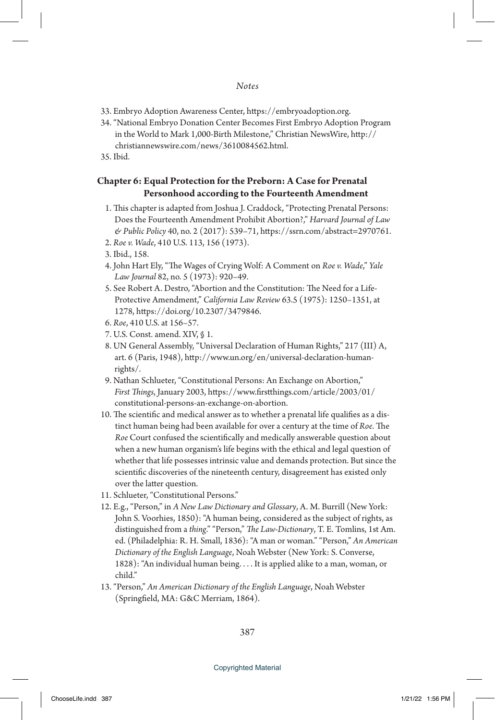- 33. Embryo Adoption Awareness Center, https://embryoadoption.org.
- 34. "National Embryo Donation Center Becomes First Embryo Adoption Program in the World to Mark 1,000-Birth Milestone," Christian NewsWire, http:// christiannewswire.com/news/3610084562.html.

35. Ibid.

# **Chapter 6: Equal Protection for the Preborn: A Case for Prenatal Personhood according to the Fourteenth Amendment**

- 1. This chapter is adapted from Joshua J. Craddock, "Protecting Prenatal Persons: Does the Fourteenth Amendment Prohibit Abortion?," *Harvard Journal of Law & Public Policy* 40, no. 2 (2017): 539–71, https://ssrn.com/abstract=2970761.
- 2. *Roe v. Wade*, 410 U.S. 113, 156 (1973).
- 3. Ibid., 158.
- 4. John Hart Ely, "The Wages of Crying Wolf: A Comment on *Roe v. Wade*," *Yale Law Journal* 82, no. 5 (1973): 920–49.
- 5. See Robert A. Destro, "Abortion and the Constitution: The Need for a Life-Protective Amendment," *California Law Review* 63.5 (1975): 1250–1351, at 1278, https://doi.org/10.2307/3479846.
- 6. *Roe*, 410 U.S. at 156–57.
- 7. U.S. Const. amend. XIV, § 1.
- 8. UN General Assembly, "Universal Declaration of Human Rights," 217 (III) A, art. 6 (Paris, 1948), http://www.un.org/en/universal-declaration-humanrights/.
- 9. Nathan Schlueter, "Constitutional Persons: An Exchange on Abortion," *First Things*, January 2003, https://www.firstthings.com/article/2003/01/ constitutional-persons-an-exchange-on-abortion.
- 10. The scientific and medical answer as to whether a prenatal life qualifies as a distinct human being had been available for over a century at the time of *Roe*. The *Roe* Court confused the scientifically and medically answerable question about when a new human organism's life begins with the ethical and legal question of whether that life possesses intrinsic value and demands protection. But since the scientific discoveries of the nineteenth century, disagreement has existed only over the latter question.
- 11. Schlueter, "Constitutional Persons."
- 12. E.g., "Person," in *A New Law Dictionary and Glossary*, A. M. Burrill (New York: John S. Voorhies, 1850): "A human being, considered as the subject of rights, as distinguished from a *thing*." "Person," *The Law-Dictionary*, T. E. Tomlins, 1st Am. ed. (Philadelphia: R. H. Small, 1836): "A man or woman." "Person," *An American Dictionary of the English Language*, Noah Webster (New York: S. Converse, 1828): "An individual human being. . . . It is applied alike to a man, woman, or child."
- 13. "Person," *An American Dictionary of the English Language*, Noah Webster (Springfield, MA: G&C Merriam, 1864).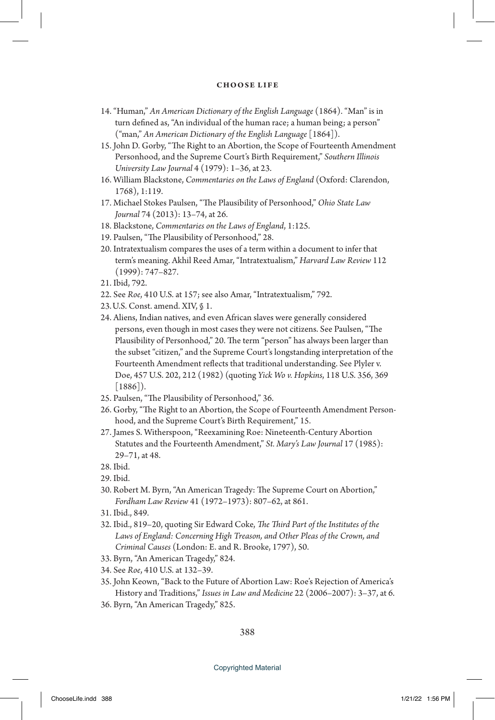- 14. "Human," *An American Dictionary of the English Language* (1864). "Man" is in turn defined as, "An individual of the human race; a human being; a person" ("man," *An American Dictionary of the English Language* [1864]).
- 15. John D. Gorby, "The Right to an Abortion, the Scope of Fourteenth Amendment Personhood, and the Supreme Court's Birth Requirement," *Southern Illinois University Law Journal* 4 (1979): 1–36, at 23.
- 16. William Blackstone, *Commentaries on the Laws of England* (Oxford: Clarendon, 1768), 1:119.
- 17. Michael Stokes Paulsen, "The Plausibility of Personhood," *Ohio State Law Journal* 74 (2013): 13–74, at 26.
- 18. Blackstone, *Commentaries on the Laws of England*, 1:125.
- 19. Paulsen, "The Plausibility of Personhood," 28.
- 20. Intratextualism compares the uses of a term within a document to infer that term's meaning. Akhil Reed Amar, "Intratextualism," *Harvard Law Review* 112 (1999): 747–827.
- 21. Ibid, 792.
- 22. See *Roe*, 410 U.S. at 157; see also Amar, "Intratextualism," 792.
- 23.U.S. Const. amend. XIV, § 1.
- 24. Aliens, Indian natives, and even African slaves were generally considered persons, even though in most cases they were not citizens. See Paulsen, "The Plausibility of Personhood," 20. The term "person" has always been larger than the subset "citizen," and the Supreme Court's longstanding interpretation of the Fourteenth Amendment reflects that traditional understanding. See Plyler v. Doe, 457 U.S. 202, 212 (1982) (quoting *Yick Wo v. Hopkins*, 118 U.S. 356, 369 [1886]).
- 25. Paulsen, "The Plausibility of Personhood," 36.
- 26. Gorby, "The Right to an Abortion, the Scope of Fourteenth Amendment Personhood, and the Supreme Court's Birth Requirement," 15.
- 27. James S. Witherspoon, "Reexamining Roe: Nineteenth-Century Abortion Statutes and the Fourteenth Amendment," *St. Mary's Law Journal* 17 (1985): 29–71, at 48.
- 28. Ibid.
- 29. Ibid.
- 30. Robert M. Byrn, "An American Tragedy: The Supreme Court on Abortion," *Fordham Law Review* 41 (1972–1973): 807–62, at 861.
- 31. Ibid., 849.
- 32. Ibid., 819–20, quoting Sir Edward Coke, *The Third Part of the Institutes of the Laws of England: Concerning High Treason, and Other Pleas of the Crown, and Criminal Causes* (London: E. and R. Brooke, 1797), 50.
- 33. Byrn, "An American Tragedy," 824.
- 34. See *Roe*, 410 U.S. at 132–39.
- 35. John Keown, "Back to the Future of Abortion Law: Roe's Rejection of America's History and Traditions," *Issues in Law and Medicine* 22 (2006–2007): 3–37, at 6.
- 36. Byrn, "An American Tragedy," 825.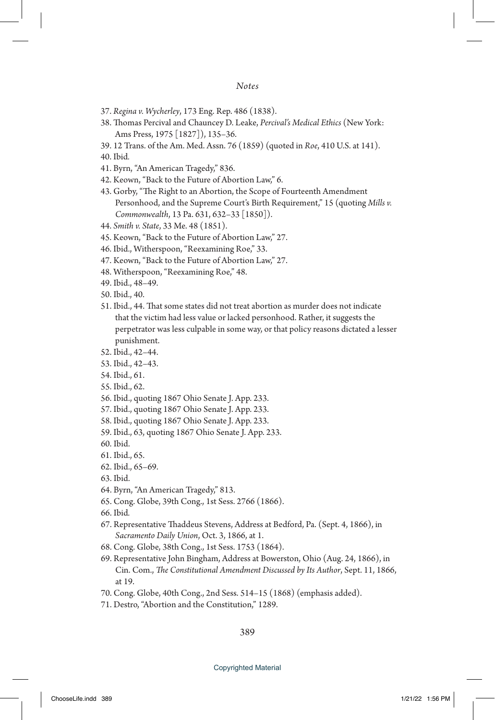## *Notes*

- 37. *Regina v. Wycherley*, 173 Eng. Rep. 486 (1838).
- 38. Thomas Percival and Chauncey D. Leake, *Percival's Medical Ethics* (New York: Ams Press, 1975 [1827]), 135–36.
- 39. 12 Trans. of the Am. Med. Assn. 76 (1859) (quoted in *Roe*, 410 U.S. at 141).
- 40. Ibid*.*
- 41. Byrn, "An American Tragedy," 836.
- 42. Keown, "Back to the Future of Abortion Law," 6.
- 43. Gorby, "The Right to an Abortion, the Scope of Fourteenth Amendment Personhood, and the Supreme Court's Birth Requirement," 15 (quoting *Mills v. Commonwealth*, 13 Pa. 631, 632–33 [1850]).
- 44. *Smith v. State*, 33 Me. 48 (1851).
- 45. Keown, "Back to the Future of Abortion Law," 27.
- 46. Ibid., Witherspoon, "Reexamining Roe," 33.
- 47. Keown, "Back to the Future of Abortion Law," 27.
- 48. Witherspoon, "Reexamining Roe," 48.
- 49. Ibid., 48–49.
- 50. Ibid., 40.
- 51. Ibid., 44. That some states did not treat abortion as murder does not indicate that the victim had less value or lacked personhood. Rather, it suggests the perpetrator was less culpable in some way, or that policy reasons dictated a lesser punishment.
- 52. Ibid., 42–44.
- 53. Ibid., 42–43.
- 54. Ibid., 61.
- 55. Ibid., 62.
- 56. Ibid., quoting 1867 Ohio Senate J. App. 233.
- 57. Ibid., quoting 1867 Ohio Senate J. App. 233.
- 58. Ibid., quoting 1867 Ohio Senate J. App. 233.
- 59. Ibid., 63, quoting 1867 Ohio Senate J. App. 233.
- 60. Ibid.
- 61. Ibid., 65.
- 62. Ibid., 65–69.
- 63. Ibid.
- 64. Byrn, "An American Tragedy," 813.
- 65. Cong. Globe, 39th Cong., 1st Sess. 2766 (1866).
- 66. Ibid*.*
- 67. Representative Thaddeus Stevens, Address at Bedford, Pa. (Sept. 4, 1866), in *Sacramento Daily Union*, Oct. 3, 1866, at 1.
- 68. Cong. Globe, 38th Cong., 1st Sess. 1753 (1864).
- 69. Representative John Bingham, Address at Bowerston, Ohio (Aug. 24, 1866), in Cin. Com., *The Constitutional Amendment Discussed by Its Author*, Sept. 11, 1866, at 19.
- 70. Cong. Globe, 40th Cong., 2nd Sess. 514–15 (1868) (emphasis added).
- 71. Destro, "Abortion and the Constitution," 1289.

389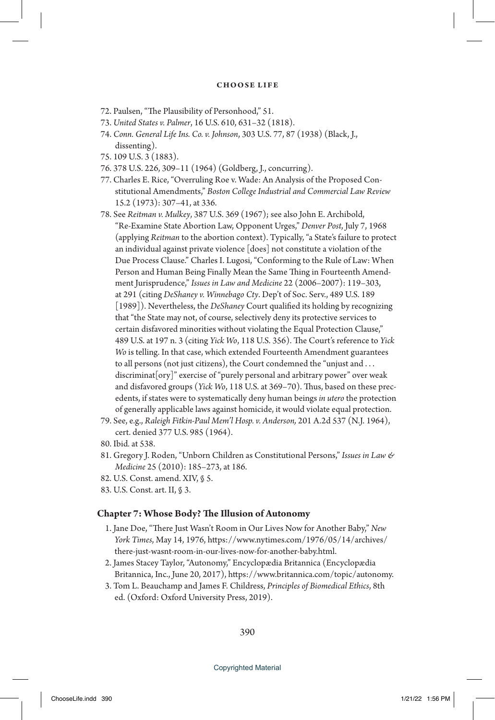- 72. Paulsen, "The Plausibility of Personhood," 51.
- 73. *United States v. Palmer*, 16 U.S. 610, 631–32 (1818).
- 74. *Conn. General Life Ins. Co. v. Johnson*, 303 U.S. 77, 87 (1938) (Black, J., dissenting).
- 75. 109 U.S. 3 (1883).
- 76. 378 U.S. 226, 309–11 (1964) (Goldberg, J., concurring).
- 77. Charles E. Rice, "Overruling Roe v. Wade: An Analysis of the Proposed Constitutional Amendments," *Boston College Industrial and Commercial Law Review* 15.2 (1973): 307–41, at 336.
- 78. See *Reitman v. Mulkey*, 387 U.S. 369 (1967); see also John E. Archibold, "Re-Examine State Abortion Law, Opponent Urges," *Denver Post*, July 7, 1968 (applying *Reitman* to the abortion context). Typically, "a State's failure to protect an individual against private violence [does] not constitute a violation of the Due Process Clause." Charles I. Lugosi, "Conforming to the Rule of Law: When Person and Human Being Finally Mean the Same Thing in Fourteenth Amendment Jurisprudence," *Issues in Law and Medicine* 22 (2006–2007): 119–303, at 291 (citing *DeShaney v. Winnebago Cty*. Dep't of Soc. Serv., 489 U.S. 189 [1989]). Nevertheless, the *DeShaney* Court qualified its holding by recognizing that "the State may not, of course, selectively deny its protective services to certain disfavored minorities without violating the Equal Protection Clause," 489 U.S. at 197 n. 3 (citing *Yick Wo*, 118 U.S. 356). The Court's reference to *Yick Wo* is telling. In that case, which extended Fourteenth Amendment guarantees to all persons (not just citizens), the Court condemned the "unjust and . . . discriminat[ory]" exercise of "purely personal and arbitrary power" over weak and disfavored groups (*Yick Wo*, 118 U.S. at 369–70). Thus, based on these precedents, if states were to systematically deny human beings *in utero* the protection of generally applicable laws against homicide, it would violate equal protection.
- 79. See, e.g., *Raleigh Fitkin-Paul Mem'l Hosp. v. Anderson,* 201 A.2d 537 (N.J. 1964), cert. denied 377 U.S. 985 (1964).
- 80. Ibid*.* at 538.
- 81. Gregory J. Roden, "Unborn Children as Constitutional Persons," *Issues in Law & Medicine* 25 (2010): 185–273, at 186.
- 82. U.S. Const. amend. XIV, § 5.
- 83. U.S. Const. art. II, § 3.

## **Chapter 7: Whose Body? The Illusion of Autonomy**

- 1. Jane Doe, "There Just Wasn't Room in Our Lives Now for Another Baby," *New York Times*, May 14, 1976, https://www.nytimes.com/1976/05/14/archives/ there-just-wasnt-room-in-our-lives-now-for-another-baby.html.
- 2. James Stacey Taylor, "Autonomy," Encyclopædia Britannica (Encyclopædia Britannica, Inc., June 20, 2017), https://www.britannica.com/topic/autonomy.
- 3. Tom L. Beauchamp and James F. Childress, *Principles of Biomedical Ethics*, 8th ed. (Oxford: Oxford University Press, 2019).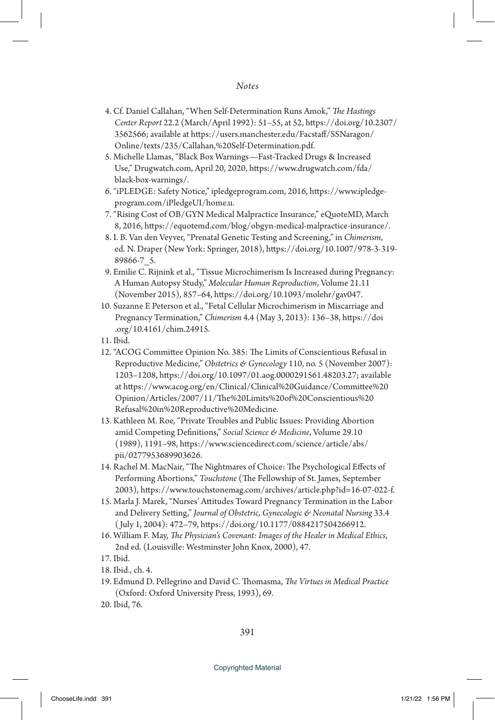- 4. Cf. Daniel Callahan, "When Self-Determination Runs Amok," *The Hastings Center Report* 22.2 (March/April 1992): 51–55, at 52, https://doi.org/10.2307/ 3562566; available at https://users.manchester.edu/Facstaff/SSNaragon/ Online/texts/235/Callahan,%20Self-Determination.pdf.
- 5. Michelle Llamas, "Black Box Warnings—Fast-Tracked Drugs & Increased Use," Drugwatch.com, April 20, 2020, https://www.drugwatch.com/fda/ black-box-warnings/.
- 6. "iPLEDGE: Safety Notice," ipledgeprogram.com, 2016, https://www.ipledgeprogram.com/iPledgeUI/home.u.
- 7. "Rising Cost of OB/GYN Medical Malpractice Insurance," eQuoteMD, March 8, 2016, https://equotemd.com/blog/obgyn-medical-malpractice-insurance/.
- 8. I. B. Van den Veyver, "Prenatal Genetic Testing and Screening," in *Chimerism*, ed. N. Draper (New York: Springer, 2018), https://doi.org/10.1007/978-3-319- 89866-7\_5.
- 9. Emilie C. Rijnink et al., "Tissue Microchimerism Is Increased during Pregnancy: A Human Autopsy Study," *Molecular Human Reproduction*, Volume 21.11 (November 2015), 857–64, https://doi.org/10.1093/molehr/gav047.
- 10. Suzanne E Peterson et al., "Fetal Cellular Microchimerism in Miscarriage and Pregnancy Termination," *Chimerism* 4.4 (May 3, 2013): 136–38, https://doi .org/10.4161/chim.24915.
- 11. Ibid.
- 12. "ACOG Committee Opinion No. 385: The Limits of Conscientious Refusal in Reproductive Medicine," *Obstetrics & Gynecology* 110, no. 5 (November 2007): 1203–1208, https://doi.org/10.1097/01.aog.0000291561.48203.27; available at https://www.acog.org/en/Clinical/Clinical%20Guidance/Committee%20 Opinion/Articles/2007/11/The%20Limits%20of%20Conscientious%20 Refusal%20in%20Reproductive%20Medicine.
- 13. Kathleen M. Roe, "Private Troubles and Public Issues: Providing Abortion amid Competing Definitions," *Social Science & Medicine*, Volume 29.10 (1989), 1191–98, https://www.sciencedirect.com/science/article/abs/ pii/0277953689903626.
- 14. Rachel M. MacNair, "The Nightmares of Choice: The Psychological Effects of Performing Abortions," *Touchstone* (The Fellowship of St. James, September 2003), https://www.touchstonemag.com/archives/article.php?id=16-07-022-f.
- 15. Marla J. Marek, "Nurses' Attitudes Toward Pregnancy Termination in the Labor and Delivery Setting," *Journal of Obstetric, Gynecologic & Neonatal Nursing* 33.4 ( July 1, 2004): 472–79, https://doi.org/10.1177/0884217504266912.
- 16. William F. May, *The Physician's Covenant: Images of the Healer in Medical Ethics*, 2nd ed. (Louisville: Westminster John Knox, 2000), 47.
- 17. Ibid.
- 18. Ibid., ch. 4.
- 19. Edmund D. Pellegrino and David C. Thomasma, *The Virtues in Medical Practice* (Oxford: Oxford University Press, 1993), 69.
- 20. Ibid, 76.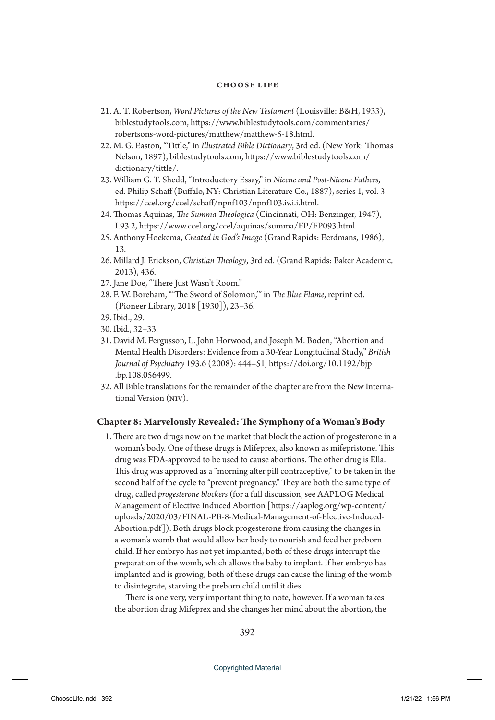- 21. A. T. Robertson, *Word Pictures of the New Testament* (Louisville: B&H, 1933), biblestudytools.com, https://www.biblestudytools.com/commentaries/ robertsons-word-pictures/matthew/matthew-5-18.html.
- 22. M. G. Easton, "Tittle," in *Illustrated Bible Dictionary*, 3rd ed. (New York: Thomas Nelson, 1897), biblestudytools.com, https://www.biblestudytools.com/ dictionary/tittle/.
- 23. William G. T. Shedd, "Introductory Essay," in *Nicene and Post-Nicene Fathers*, ed. Philip Schaff (Buffalo, NY: Christian Literature Co., 1887), series 1, vol. 3 https://ccel.org/ccel/schaff/npnf103/npnf103.iv.i.i.html.
- 24. Thomas Aquinas, *The Summa Theologica* (Cincinnati, OH: Benzinger, 1947), I.93.2, https://www.ccel.org/ccel/aquinas/summa/FP/FP093.html.
- 25. Anthony Hoekema, *Created in God's Image* (Grand Rapids: Eerdmans, 1986), 13.
- 26. Millard J. Erickson, *Christian Theology*, 3rd ed. (Grand Rapids: Baker Academic, 2013), 436.
- 27. Jane Doe, "There Just Wasn't Room."
- 28. F. W. Boreham, "'The Sword of Solomon,'" in *The Blue Flame*, reprint ed. (Pioneer Library, 2018 [1930]), 23–36.
- 29. Ibid., 29.
- 30. Ibid*.*, 32–33.
- 31. David M. Fergusson, L. John Horwood, and Joseph M. Boden, "Abortion and Mental Health Disorders: Evidence from a 30-Year Longitudinal Study," *British Journal of Psychiatry* 193.6 (2008): 444–51, https://doi.org/10.1192/bjp .bp.108.056499.
- 32. All Bible translations for the remainder of the chapter are from the New International Version (niv).

## **Chapter 8: Marvelously Revealed: The Symphony of a Woman's Body**

1. There are two drugs now on the market that block the action of progesterone in a woman's body. One of these drugs is Mifeprex, also known as mifepristone. This drug was FDA-approved to be used to cause abortions. The other drug is Ella. This drug was approved as a "morning after pill contraceptive," to be taken in the second half of the cycle to "prevent pregnancy." They are both the same type of drug, called *progesterone blockers* (for a full discussion, see AAPLOG Medical Management of Elective Induced Abortion [https://aaplog.org/wp-content/ uploads/2020/03/FINAL-PB-8-Medical-Management-of-Elective-Induced-Abortion.pdf]). Both drugs block progesterone from causing the changes in a woman's womb that would allow her body to nourish and feed her preborn child. If her embryo has not yet implanted, both of these drugs interrupt the preparation of the womb, which allows the baby to implant. If her embryo has implanted and is growing, both of these drugs can cause the lining of the womb to disintegrate, starving the preborn child until it dies.

 There is one very, very important thing to note, however. If a woman takes the abortion drug Mifeprex and she changes her mind about the abortion, the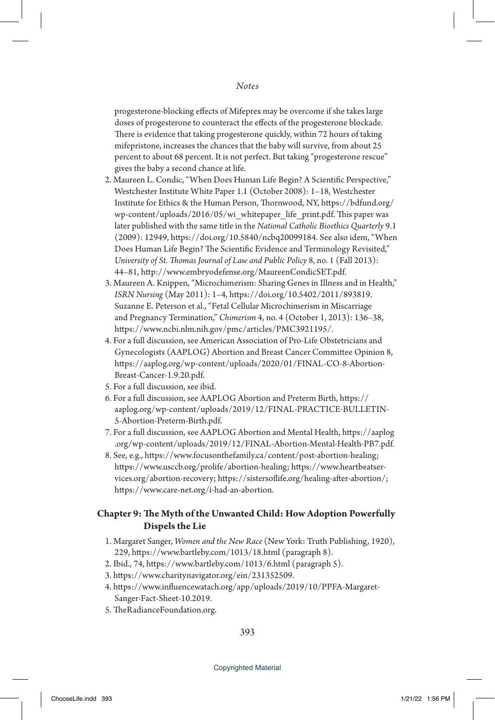progesterone-blocking effects of Mifeprex may be overcome if she takes large doses of progesterone to counteract the effects of the progesterone blockade. There is evidence that taking progesterone quickly, within 72 hours of taking mifepristone, increases the chances that the baby will survive, from about 25 percent to about 68 percent. It is not perfect. But taking "progesterone rescue" gives the baby a second chance at life.

- 2. Maureen L. Condic, "When Does Human Life Begin? A Scientific Perspective," Westchester Institute White Paper 1.1 (October 2008): 1–18, Westchester Institute for Ethics & the Human Person, Thornwood, NY, https://bdfund.org/ wp-content/uploads/2016/05/wi\_whitepaper\_life\_print.pdf. This paper was later published with the same title in the *National Catholic Bioethics Quarterly* 9.1 (2009): 12949, https://doi.org/10.5840/ncbq20099184. See also idem, "When Does Human Life Begin? The Scientific Evidence and Terminology Revisited," *University of St. Thomas Journal of Law and Public Policy* 8, no. 1 (Fall 2013): 44–81, http://www.embryodefense.org/MaureenCondicSET.pdf.
- 3. Maureen A. Knippen, "Microchimerism: Sharing Genes in Illness and in Health," *ISRN Nursing* (May 2011): 1–4, https://doi.org/10.5402/2011/893819. Suzanne E. Peterson et al., "Fetal Cellular Microchimerism in Miscarriage and Pregnancy Termination," *Chimerism* 4, no. 4 (October 1, 2013): 136–38, https://www.ncbi.nlm.nih.gov/pmc/articles/PMC3921195/.
- 4. For a full discussion, see American Association of Pro-Life Obstetricians and Gynecologists (AAPLOG) Abortion and Breast Cancer Committee Opinion 8, https://aaplog.org/wp-content/uploads/2020/01/FINAL-CO-8-Abortion-Breast-Cancer-1.9.20.pdf.
- 5. For a full discussion, see ibid.
- 6. For a full discussion, see AAPLOG Abortion and Preterm Birth, https:// aaplog.org/wp-content/uploads/2019/12/FINAL-PRACTICE-BULLETIN-5-Abortion-Preterm-Birth.pdf.
- 7. For a full discussion, see AAPLOG Abortion and Mental Health, https://aaplog .org/wp-content/uploads/2019/12/FINAL-Abortion-Mental-Health-PB7.pdf.
- 8. See, e.g., https://www.focusonthefamily.ca/content/post-abortion-healing; https://www.usccb.org/prolife/abortion-healing; https://www.heartbeatservices.org/abortion-recovery; https://sistersoflife.org/healing-after-abortion/; https://www.care-net.org/i-had-an-abortion.

# **Chapter 9: The Myth of the Unwanted Child: How Adoption Powerfully Dispels the Lie**

- 1. Margaret Sanger, *Women and the New Race* (New York: Truth Publishing, 1920), 229, https://www.bartleby.com/1013/18.html (paragraph 8).
- 2. Ibid., 74, https://www.bartleby.com/1013/6.html (paragraph 5).
- 3. https://www.charitynavigator.org/ein/231352509.
- 4. https://www.influencewatach.org/app/uploads/2019/10/PPFA-Margaret-Sanger-Fact-Sheet-10.2019.
- 5. TheRadianceFoundation.org.

393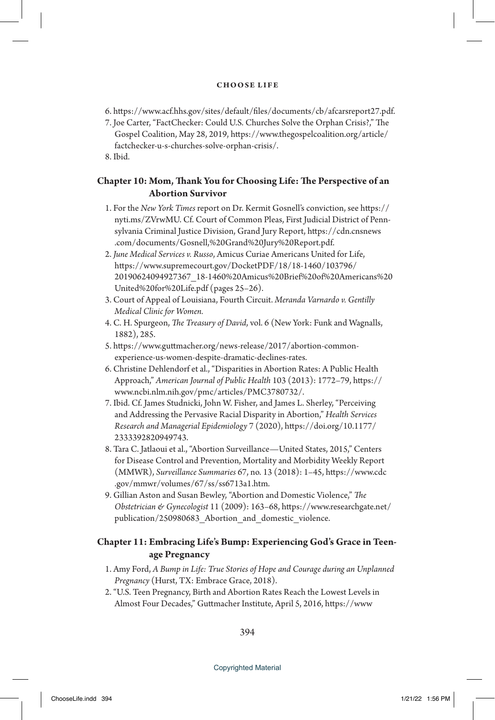- 6. https://www.acf.hhs.gov/sites/default/files/documents/cb/afcarsreport27.pdf.
- 7. Joe Carter, "FactChecker: Could U.S. Churches Solve the Orphan Crisis?," The Gospel Coalition, May 28, 2019, https://www.thegospelcoalition.org/article/ factchecker-u-s-churches-solve-orphan-crisis/.

8. Ibid.

# **Chapter 10: Mom, Thank You for Choosing Life: The Perspective of an Abortion Survivor**

- 1. For the *New York Times* report on Dr. Kermit Gosnell's conviction, see https:// nyti.ms/ZVrwMU. Cf. Court of Common Pleas, First Judicial District of Pennsylvania Criminal Justice Division, Grand Jury Report, https://cdn.cnsnews .com/documents/Gosnell,%20Grand%20Jury%20Report.pdf.
- 2. *June Medical Services v. Russo*, Amicus Curiae Americans United for Life, https://www.supremecourt.gov/DocketPDF/18/18-1460/103796/ 20190624094927367\_18-1460%20Amicus%20Brief%20of%20Americans%20 United%20for%20Life.pdf (pages 25–26).
- 3. Court of Appeal of Louisiana, Fourth Circuit. *Meranda Varnardo v. Gentilly Medical Clinic for Women.*
- 4. C. H. Spurgeon, *The Treasury of David*, vol. 6 (New York: Funk and Wagnalls, 1882), 285.
- 5. https://www.guttmacher.org/news-release/2017/abortion-commonexperience-us-women-despite-dramatic-declines-rates.
- 6. Christine Dehlendorf et al., "Disparities in Abortion Rates: A Public Health Approach," *American Journal of Public Health* 103 (2013): 1772–79, https:// www.ncbi.nlm.nih.gov/pmc/articles/PMC3780732/.
- 7. Ibid. Cf. James Studnicki, John W. Fisher, and James L. Sherley, "Perceiving and Addressing the Pervasive Racial Disparity in Abortion," *Health Services Research and Managerial Epidemiology* 7 (2020), https://doi.org/10.1177/ 2333392820949743.
- 8. Tara C. Jatlaoui et al., "Abortion Surveillance—United States, 2015," Centers for Disease Control and Prevention, Mortality and Morbidity Weekly Report (MMWR), *Surveillance Summaries* 67, no. 13 (2018): 1–45, https://www.cdc .gov/mmwr/volumes/67/ss/ss6713a1.htm.
- 9. Gillian Aston and Susan Bewley, "Abortion and Domestic Violence," *The Obstetrician & Gynecologist* 11 (2009): 163–68, https://www.researchgate.net/ publication/250980683\_Abortion\_and\_domestic\_violence.

# **Chapter 11: Embracing Life's Bump: Experiencing God's Grace in Teenage Pregnancy**

- 1. Amy Ford, *A Bump in Life: True Stories of Hope and Courage during an Unplanned Pregnancy* (Hurst, TX: Embrace Grace, 2018).
- 2. "U.S. Teen Pregnancy, Birth and Abortion Rates Reach the Lowest Levels in Almost Four Decades," Guttmacher Institute, April 5, 2016, https://www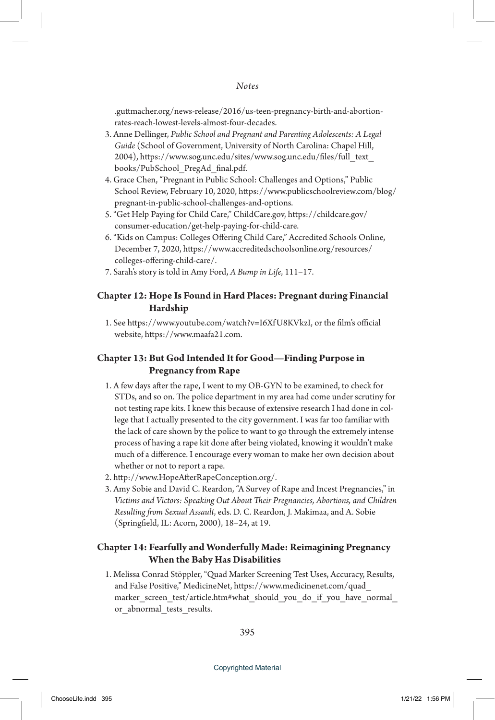.guttmacher.org/news-release/2016/us-teen-pregnancy-birth-and-abortionrates-reach-lowest-levels-almost-four-decades.

- 3. Anne Dellinger, *Public School and Pregnant and Parenting Adolescents: A Legal Guide* (School of Government, University of North Carolina: Chapel Hill, 2004), https://www.sog.unc.edu/sites/www.sog.unc.edu/files/full\_text\_ books/PubSchool\_PregAd\_final.pdf.
- 4. Grace Chen, "Pregnant in Public School: Challenges and Options," Public School Review, February 10, 2020, https://www.publicschoolreview.com/blog/ pregnant-in-public-school-challenges-and-options.
- 5. "Get Help Paying for Child Care," ChildCare.gov, https://childcare.gov/ consumer-education/get-help-paying-for-child-care.
- 6. "Kids on Campus: Colleges Offering Child Care," Accredited Schools Online, December 7, 2020, https://www.accreditedschoolsonline.org/resources/ colleges-offering-child-care/.
- 7. Sarah's story is told in Amy Ford, *A Bump in Life*, 111–17.

# **Chapter 12: Hope Is Found in Hard Places: Pregnant during Financial Hardship**

1. See https://www.youtube.com/watch?v=I6Xf U8KVkzI, or the film's official website, https://www.maafa21.com.

# **Chapter 13: But God Intended It for Good—Finding Purpose in Pregnancy from Rape**

- 1. A few days after the rape, I went to my OB-GYN to be examined, to check for STDs, and so on. The police department in my area had come under scrutiny for not testing rape kits. I knew this because of extensive research I had done in college that I actually presented to the city government. I was far too familiar with the lack of care shown by the police to want to go through the extremely intense process of having a rape kit done after being violated, knowing it wouldn't make much of a difference. I encourage every woman to make her own decision about whether or not to report a rape.
- 2. http://www.HopeAfterRapeConception.org/.
- 3. Amy Sobie and David C. Reardon, "A Survey of Rape and Incest Pregnancies," in *Victims and Victors: Speaking Out About Their Pregnancies, Abortions, and Children Resulting from Sexual Assault*, eds. D. C. Reardon, J. Makimaa, and A. Sobie (Springfield, IL: Acorn, 2000), 18–24, at 19.

# **Chapter 14: Fearfully and Wonderfully Made: Reimagining Pregnancy When the Baby Has Disabilities**

1. Melissa Conrad Stöppler, "Quad Marker Screening Test Uses, Accuracy, Results, and False Positive," MedicineNet, https://www.medicinenet.com/quad\_ marker\_screen\_test/article.htm#what\_should\_you\_do\_if\_you\_have\_normal or abnormal tests results.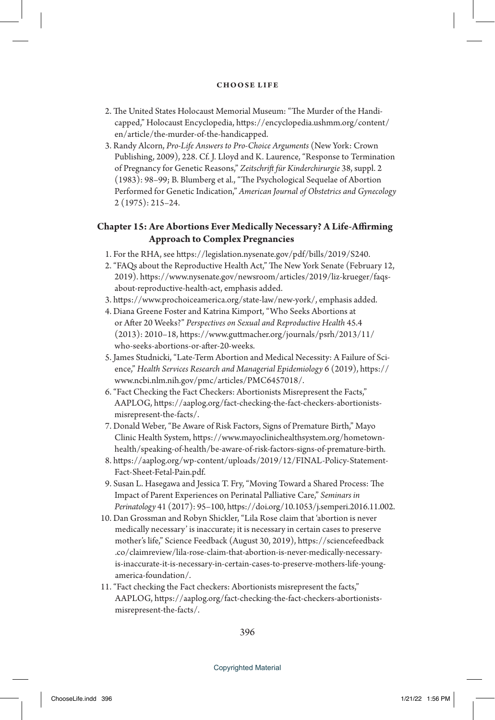- 2. The United States Holocaust Memorial Museum: "The Murder of the Handicapped," Holocaust Encyclopedia, https://encyclopedia.ushmm.org/content/ en/article/the-murder-of-the-handicapped.
- 3. Randy Alcorn, *Pro-Life Answers to Pro-Choice Arguments* (New York: Crown Publishing, 2009), 228. Cf. J. Lloyd and K. Laurence, "Response to Termination of Pregnancy for Genetic Reasons," *Zeitschrift für Kinderchirurgie* 38, suppl. 2 (1983): 98–99; B. Blumberg et al., "The Psychological Sequelae of Abortion Performed for Genetic Indication," *American Journal of Obstetrics and Gynecology* 2 (1975): 215–24.

# **Chapter 15: Are Abortions Ever Medically Necessary? A Life-Affirming Approach to Complex Pregnancies**

- 1. For the RHA, see https://legislation.nysenate.gov/pdf/bills/2019/S240.
- 2. "FAQs about the Reproductive Health Act," The New York Senate (February 12, 2019). https://www.nysenate.gov/newsroom/articles/2019/liz-krueger/faqsabout-reproductive-health-act, emphasis added.
- 3. https://www.prochoiceamerica.org/state-law/new-york/, emphasis added.
- 4. Diana Greene Foster and Katrina Kimport, "Who Seeks Abortions at or After 20 Weeks?" *Perspectives on Sexual and Reproductive Health* 45.4 (2013): 2010–18, https://www.guttmacher.org/journals/psrh/2013/11/ who-seeks-abortions-or-after-20-weeks.
- 5. James Studnicki, "Late-Term Abortion and Medical Necessity: A Failure of Science," *Health Services Research and Managerial Epidemiology* 6 (2019), https:// www.ncbi.nlm.nih.gov/pmc/articles/PMC6457018/.
- 6. "Fact Checking the Fact Checkers: Abortionists Misrepresent the Facts," AAPLOG, https://aaplog.org/fact-checking-the-fact-checkers-abortionistsmisrepresent-the-facts/.
- 7. Donald Weber, "Be Aware of Risk Factors, Signs of Premature Birth," Mayo Clinic Health System, https://www.mayoclinichealthsystem.org/hometownhealth/speaking-of-health/be-aware-of-risk-factors-signs-of-premature-birth.
- 8. https://aaplog.org/wp-content/uploads/2019/12/FINAL-Policy-Statement-Fact-Sheet-Fetal-Pain.pdf.
- 9. Susan L. Hasegawa and Jessica T. Fry, "Moving Toward a Shared Process: The Impact of Parent Experiences on Perinatal Palliative Care," *Seminars in Perinatology* 41 (2017): 95–100, https://doi.org/10.1053/j.semperi.2016.11.002.
- 10. Dan Grossman and Robyn Shickler, "Lila Rose claim that 'abortion is never medically necessary' is inaccurate; it is necessary in certain cases to preserve mother's life," Science Feedback (August 30, 2019), https://sciencefeedback .co/claimreview/lila-rose-claim-that-abortion-is-never-medically-necessaryis-inaccurate-it-is-necessary-in-certain-cases-to-preserve-mothers-life-youngamerica-foundation/.
- 11. "Fact checking the Fact checkers: Abortionists misrepresent the facts," AAPLOG, https://aaplog.org/fact-checking-the-fact-checkers-abortionistsmisrepresent-the-facts/.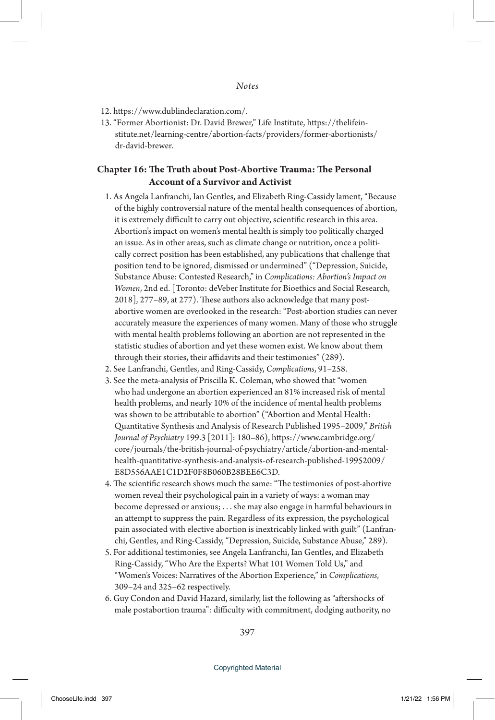- 12. https://www.dublindeclaration.com/.
- 13. "Former Abortionist: Dr. David Brewer," Life Institute, https://thelifeinstitute.net/learning-centre/abortion-facts/providers/former-abortionists/ dr-david-brewer.

# **Chapter 16: The Truth about Post-Abortive Trauma: The Personal Account of a Survivor and Activist**

- 1. As Angela Lanfranchi, Ian Gentles, and Elizabeth Ring-Cassidy lament, "Because of the highly controversial nature of the mental health consequences of abortion, it is extremely difficult to carry out objective, scientific research in this area. Abortion's impact on women's mental health is simply too politically charged an issue. As in other areas, such as climate change or nutrition, once a politically correct position has been established, any publications that challenge that position tend to be ignored, dismissed or undermined" ("Depression, Suicide, Substance Abuse: Contested Research," in *Complications: Abortion's Impact on Women*, 2nd ed. [Toronto: deVeber Institute for Bioethics and Social Research, 2018], 277–89, at 277). These authors also acknowledge that many postabortive women are overlooked in the research: "Post-abortion studies can never accurately measure the experiences of many women. Many of those who struggle with mental health problems following an abortion are not represented in the statistic studies of abortion and yet these women exist. We know about them through their stories, their affidavits and their testimonies" (289).
- 2. See Lanfranchi, Gentles, and Ring-Cassidy, *Complications*, 91–258.
- 3. See the meta-analysis of Priscilla K. Coleman, who showed that "women who had undergone an abortion experienced an 81% increased risk of mental health problems, and nearly 10% of the incidence of mental health problems was shown to be attributable to abortion" ("Abortion and Mental Health: Quantitative Synthesis and Analysis of Research Published 1995–2009," *British Journal of Psychiatry* 199.3 [2011]: 180–86), https://www.cambridge.org/ core/journals/the-british-journal-of-psychiatry/article/abortion-and-mentalhealth-quantitative-synthesis-and-analysis-of-research-published-19952009/ E8D556AAE1C1D2F0F8B060B28BEE6C3D.
- 4. The scientific research shows much the same: "The testimonies of post-abortive women reveal their psychological pain in a variety of ways: a woman may become depressed or anxious; . . . she may also engage in harmful behaviours in an attempt to suppress the pain. Regardless of its expression, the psychological pain associated with elective abortion is inextricably linked with guilt" (Lanfranchi, Gentles, and Ring-Cassidy, "Depression, Suicide, Substance Abuse," 289).
- 5. For additional testimonies, see Angela Lanfranchi, Ian Gentles, and Elizabeth Ring-Cassidy, "Who Are the Experts? What 101 Women Told Us," and "Women's Voices: Narratives of the Abortion Experience," in *Complications*, 309–24 and 325–62 respectively.
- 6. Guy Condon and David Hazard, similarly, list the following as "aftershocks of male postabortion trauma": difficulty with commitment, dodging authority, no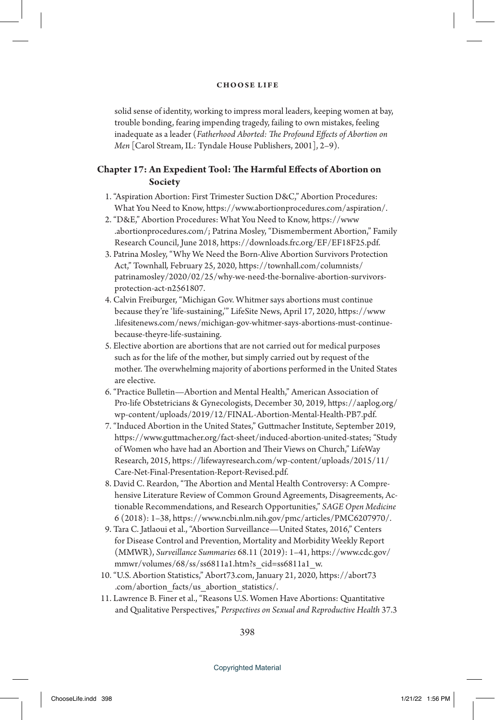solid sense of identity, working to impress moral leaders, keeping women at bay, trouble bonding, fearing impending tragedy, failing to own mistakes, feeling inadequate as a leader (*Fatherhood Aborted: The Profound Effects of Abortion on Men* [Carol Stream, IL: Tyndale House Publishers, 2001], 2–9).

# **Chapter 17: An Expedient Tool: The Harmful Effects of Abortion on Society**

- 1. "Aspiration Abortion: First Trimester Suction D&C," Abortion Procedures: What You Need to Know, https://www.abortionprocedures.com/aspiration/.
- 2. "D&E," Abortion Procedures: What You Need to Know, https://www .abortionprocedures.com/; Patrina Mosley, "Dismemberment Abortion," Family Research Council, June 2018, https://downloads.frc.org/EF/EF18F25.pdf.
- 3. Patrina Mosley, "Why We Need the Born-Alive Abortion Survivors Protection Act," Townhall*,* February 25, 2020, https://townhall.com/columnists/ patrinamosley/2020/02/25/why-we-need-the-bornalive-abortion-survivorsprotection-act-n2561807.
- 4. Calvin Freiburger, "Michigan Gov. Whitmer says abortions must continue because they're 'life-sustaining,'" LifeSite News, April 17, 2020, https://www .lifesitenews.com/news/michigan-gov-whitmer-says-abortions-must-continuebecause-theyre-life-sustaining.
- 5. Elective abortion are abortions that are not carried out for medical purposes such as for the life of the mother, but simply carried out by request of the mother. The overwhelming majority of abortions performed in the United States are elective.
- 6. "Practice Bulletin—Abortion and Mental Health," American Association of Pro-life Obstetricians & Gynecologists, December 30, 2019, https://aaplog.org/ wp-content/uploads/2019/12/FINAL-Abortion-Mental-Health-PB7.pdf.
- 7. "Induced Abortion in the United States," Guttmacher Institute, September 2019, https://www.guttmacher.org/fact-sheet/induced-abortion-united-states; "Study of Women who have had an Abortion and Their Views on Church," LifeWay Research, 2015, https://lifewayresearch.com/wp-content/uploads/2015/11/ Care-Net-Final-Presentation-Report-Revised.pdf.
- 8. David C. Reardon, "The Abortion and Mental Health Controversy: A Comprehensive Literature Review of Common Ground Agreements, Disagreements, Actionable Recommendations, and Research Opportunities," *SAGE Open Medicine* 6 (2018): 1–38, https://www.ncbi.nlm.nih.gov/pmc/articles/PMC6207970/.
- 9. Tara C. Jatlaoui et al., "Abortion Surveillance—United States, 2016," Centers for Disease Control and Prevention, Mortality and Morbidity Weekly Report (MMWR), *Surveillance Summaries* 68.11 (2019): 1–41, https://www.cdc.gov/ mmwr/volumes/68/ss/ss6811a1.htm?s\_cid=ss6811a1\_w.
- 10. "U.S. Abortion Statistics," Abort73.com, January 21, 2020, https://abort73 .com/abortion\_facts/us\_abortion\_statistics/.
- 11. Lawrence B. Finer et al., "Reasons U.S. Women Have Abortions: Quantitative and Qualitative Perspectives," *Perspectives on Sexual and Reproductive Health* 37.3

398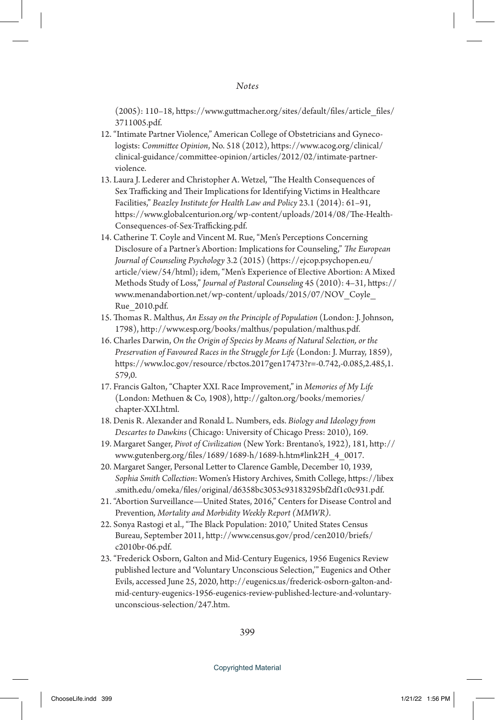(2005): 110–18, https://www.guttmacher.org/sites/default/files/article\_files/ 3711005.pdf.

- 12. "Intimate Partner Violence," American College of Obstetricians and Gynecologists: *Committee Opinion*, No. 518 (2012), https://www.acog.org/clinical/ clinical-guidance/committee-opinion/articles/2012/02/intimate-partnerviolence.
- 13. Laura J. Lederer and Christopher A. Wetzel, "The Health Consequences of Sex Trafficking and Their Implications for Identifying Victims in Healthcare Facilities," *Beazley Institute for Health Law and Policy* 23.1 (2014): 61–91, https://www.globalcenturion.org/wp-content/uploads/2014/08/The-Health-Consequences-of-Sex-Trafficking.pdf.
- 14. Catherine T. Coyle and Vincent M. Rue, "Men's Perceptions Concerning Disclosure of a Partner's Abortion: Implications for Counseling," *The European Journal of Counseling Psychology* 3.2 (2015) (https://ejcop.psychopen.eu/ article/view/54/html); idem, "Men's Experience of Elective Abortion: A Mixed Methods Study of Loss," *Journal of Pastoral Counseling* 45 (2010): 4–31, https:// www.menandabortion.net/wp-content/uploads/2015/07/NOV\_Coyle\_ Rue\_2010.pdf.
- 15. Thomas R. Malthus, *An Essay on the Principle of Population* (London: J. Johnson, 1798), http://www.esp.org/books/malthus/population/malthus.pdf.
- 16. Charles Darwin, *On the Origin of Species by Means of Natural Selection, or the Preservation of Favoured Races in the Struggle for Life* (London: J. Murray, 1859), https://www.loc.gov/resource/rbctos.2017gen17473?r=-0.742,-0.085,2.485,1. 579,0.
- 17. Francis Galton, "Chapter XXI. Race Improvement," in *Memories of My Life* (London: Methuen & Co, 1908), http://galton.org/books/memories/ chapter-XXI.html.
- 18. Denis R. Alexander and Ronald L. Numbers, eds. *Biology and Ideology from Descartes to Dawkins* (Chicago: University of Chicago Press: 2010), 169.
- 19. Margaret Sanger, *Pivot of Civilization* (New York: Brentano's, 1922), 181, http:// www.gutenberg.org/files/1689/1689-h/1689-h.htm#link2H\_4\_0017.
- 20. Margaret Sanger, Personal Letter to Clarence Gamble, December 10, 1939, *Sophia Smith Collection*: Women's History Archives, Smith College, https://libex .smith.edu/omeka/files/original/d6358bc3053c93183295bf2df1c0c931.pdf.
- 21. "Abortion Surveillance—United States, 2016," Centers for Disease Control and Prevention*, Mortality and Morbidity Weekly Report (MMWR)*.
- 22. Sonya Rastogi et al., "The Black Population: 2010," United States Census Bureau, September 2011, http://www.census.gov/prod/cen2010/briefs/ c2010br-06.pdf.
- 23. "Frederick Osborn, Galton and Mid-Century Eugenics, 1956 Eugenics Review published lecture and **'**Voluntary Unconscious Selection,'" Eugenics and Other Evils, accessed June 25, 2020, http://eugenics.us/frederick-osborn-galton-andmid-century-eugenics-1956-eugenics-review-published-lecture-and-voluntaryunconscious-selection/247.htm.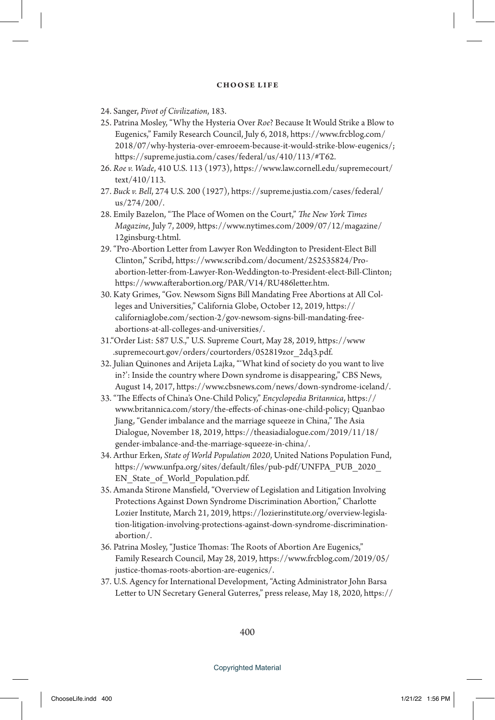- 24. Sanger, *Pivot of Civilization*, 183.
- 25. Patrina Mosley, "Why the Hysteria Over *Roe*? Because It Would Strike a Blow to Eugenics," Family Research Council, July 6, 2018, https://www.frcblog.com/ 2018/07/why-hysteria-over-emroeem-because-it-would-strike-blow-eugenics/; https://supreme.justia.com/cases/federal/us/410/113/#T62.
- 26. *Roe v. Wade*, 410 U.S. 113 (1973), https://www.law.cornell.edu/supremecourt/ text/410/113.
- 27. *Buck v. Bell*, 274 U.S. 200 (1927), https://supreme.justia.com/cases/federal/ us/274/200/.
- 28. Emily Bazelon, "The Place of Women on the Court," *The New York Times Magazine*, July 7, 2009, https://www.nytimes.com/2009/07/12/magazine/ 12ginsburg-t.html.
- 29. "Pro-Abortion Letter from Lawyer Ron Weddington to President-Elect Bill Clinton," Scribd, https://www.scribd.com/document/252535824/Proabortion-letter-from-Lawyer-Ron-Weddington-to-President-elect-Bill-Clinton; https://www.afterabortion.org/PAR/V14/RU486letter.htm.
- 30. Katy Grimes, "Gov. Newsom Signs Bill Mandating Free Abortions at All Colleges and Universities," California Globe, October 12, 2019, https:// californiaglobe.com/section-2/gov-newsom-signs-bill-mandating-freeabortions-at-all-colleges-and-universities/.
- 31."Order List: 587 U.S.," U.S. Supreme Court, May 28, 2019, https://www .supremecourt.gov/orders/courtorders/052819zor\_2dq3.pdf.
- 32. Julian Quinones and Arijeta Lajka, "'What kind of society do you want to live in?': Inside the country where Down syndrome is disappearing," CBS News, August 14, 2017, https://www.cbsnews.com/news/down-syndrome-iceland/.
- 33. "The Effects of China's One-Child Policy," *Encyclopedia Britannica*, https:// www.britannica.com/story/the-effects-of-chinas-one-child-policy; Quanbao Jiang, "Gender imbalance and the marriage squeeze in China," The Asia Dialogue, November 18, 2019, https://theasiadialogue.com/2019/11/18/ gender-imbalance-and-the-marriage-squeeze-in-china/.
- 34. Arthur Erken, *State of World Population 2020*, United Nations Population Fund, https://www.unfpa.org/sites/default/files/pub-pdf/UNFPA\_PUB\_2020\_ EN State of World Population.pdf.
- 35. Amanda Stirone Mansfield, "Overview of Legislation and Litigation Involving Protections Against Down Syndrome Discrimination Abortion," Charlotte Lozier Institute, March 21, 2019, https://lozierinstitute.org/overview-legislation-litigation-involving-protections-against-down-syndrome-discriminationabortion/.
- 36. Patrina Mosley, "Justice Thomas: The Roots of Abortion Are Eugenics," Family Research Council, May 28, 2019, https://www.frcblog.com/2019/05/ justice-thomas-roots-abortion-are-eugenics/.
- 37. U.S. Agency for International Development, "Acting Administrator John Barsa Letter to UN Secretary General Guterres," press release, May 18, 2020, https://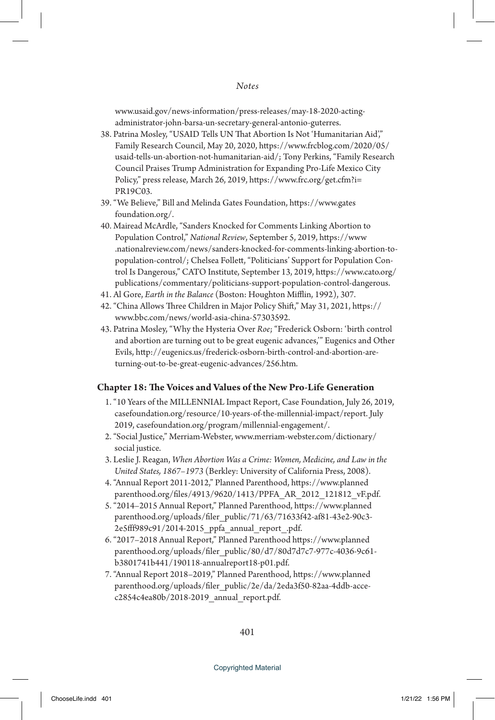www.usaid.gov/news-information/press-releases/may-18-2020-actingadministrator-john-barsa-un-secretary-general-antonio-guterres.

- 38. Patrina Mosley, "USAID Tells UN That Abortion Is Not 'Humanitarian Aid'," Family Research Council, May 20, 2020, https://www.frcblog.com/2020/05/ usaid-tells-un-abortion-not-humanitarian-aid/; Tony Perkins, "Family Research Council Praises Trump Administration for Expanding Pro-Life Mexico City Policy," press release, March 26, 2019, https://www.frc.org/get.cfm?i= PR19C03.
- 39. "We Believe," Bill and Melinda Gates Foundation, https://www.gates foundation.org/.
- 40. Mairead McArdle, "Sanders Knocked for Comments Linking Abortion to Population Control," *National Review*, September 5, 2019, https://www .nationalreview.com/news/sanders-knocked-for-comments-linking-abortion-topopulation-control/; Chelsea Follett, "Politicians' Support for Population Control Is Dangerous," CATO Institute, September 13, 2019, https://www.cato.org/ publications/commentary/politicians-support-population-control-dangerous.
- 41. Al Gore, *Earth in the Balance* (Boston: Houghton Mifflin, 1992), 307.
- 42. "China Allows Three Children in Major Policy Shift," May 31, 2021, https:// www.bbc.com/news/world-asia-china-57303592.
- 43. Patrina Mosley, "Why the Hysteria Over *Roe*; "Frederick Osborn: 'birth control and abortion are turning out to be great eugenic advances,'" Eugenics and Other Evils, http://eugenics.us/frederick-osborn-birth-control-and-abortion-areturning-out-to-be-great-eugenic-advances/256.htm.

## **Chapter 18: The Voices and Values of the New Pro-Life Generation**

- 1. "10 Years of the MILLENNIAL Impact Report, Case Foundation, July 26, 2019, casefoundation.org/resource/10-years-of-the-millennial-impact/report. July 2019, casefoundation.org/program/millennial-engagement/.
- 2. "Social Justice," Merriam-Webster, www.merriam-webster.com/dictionary/ social justice.
- 3. Leslie J. Reagan, *When Abortion Was a Crime: Women, Medicine, and Law in the United States, 1867–1973* (Berkley: University of California Press, 2008).
- 4. "Annual Report 2011-2012," Planned Parenthood, https://www.planned parenthood.org/files/4913/9620/1413/PPFA\_AR\_2012\_121812\_vF.pdf.
- 5. "2014–2015 Annual Report," Planned Parenthood, https://www.planned parenthood.org/uploads/filer\_public/71/63/71633f42-af81-43e2-90c3- 2e5fff989c91/2014-2015\_ppfa\_annual\_report\_.pdf.
- 6. "2017–2018 Annual Report," Planned Parenthood https://www.planned parenthood.org/uploads/filer\_public/80/d7/80d7d7c7-977c-4036-9c61b3801741b441/190118-annualreport18-p01.pdf.
- 7. "Annual Report 2018–2019," Planned Parenthood, https://www.planned parenthood.org/uploads/filer\_public/2e/da/2eda3f50-82aa-4ddb-accec2854c4ea80b/2018-2019\_annual\_report.pdf.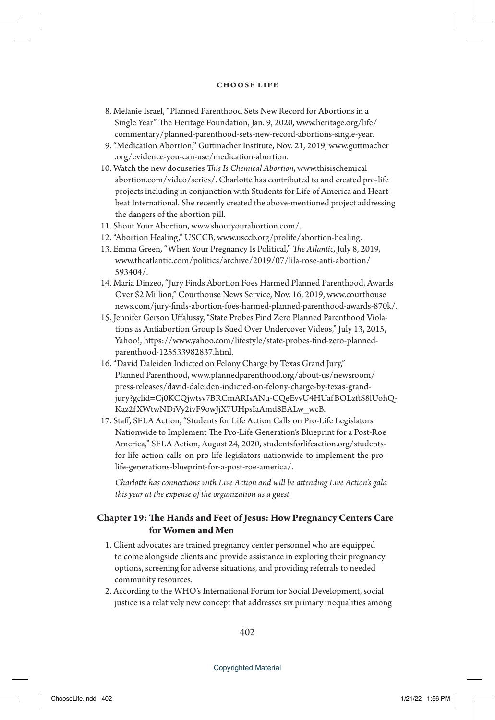- 8. Melanie Israel, "Planned Parenthood Sets New Record for Abortions in a Single Year" The Heritage Foundation, Jan. 9, 2020, www.heritage.org/life/ commentary/planned-parenthood-sets-new-record-abortions-single-year.
- 9. "Medication Abortion," Guttmacher Institute, Nov. 21, 2019, www.guttmacher .org/evidence-you-can-use/medication-abortion.
- 10. Watch the new docuseries *This Is Chemical Abortion*, www.thisischemical abortion.com/video/series/. Charlotte has contributed to and created pro-life projects including in conjunction with Students for Life of America and Heartbeat International. She recently created the above-mentioned project addressing the dangers of the abortion pill.
- 11. Shout Your Abortion, www.shoutyourabortion.com/.
- 12. "Abortion Healing," USCCB, www.usccb.org/prolife/abortion-healing.
- 13. Emma Green, "When Your Pregnancy Is Political," *The Atlantic*, July 8, 2019, www.theatlantic.com/politics/archive/2019/07/lila-rose-anti-abortion/ 593404/.
- 14. Maria Dinzeo, "Jury Finds Abortion Foes Harmed Planned Parenthood, Awards Over \$2 Million," Courthouse News Service, Nov. 16, 2019, www.courthouse news.com/jury-finds-abortion-foes-harmed-planned-parenthood-awards-870k/.
- 15. Jennifer Gerson Uffalussy, "State Probes Find Zero Planned Parenthood Violations as Antiabortion Group Is Sued Over Undercover Videos," July 13, 2015, Yahoo!, https://www.yahoo.com/lifestyle/state-probes-find-zero-plannedparenthood-125533982837.html.
- 16. "David Daleiden Indicted on Felony Charge by Texas Grand Jury," Planned Parenthood, www.plannedparenthood.org/about-us/newsroom/ press-releases/david-daleiden-indicted-on-felony-charge-by-texas-grandjury?gclid=Cj0KCQjwtsv7BRCmARIsANu-CQeEvvU4HUafBOLzftS8lUohQ-Kaz2f XWtwNDiVy2ivF9owJjX7UHpsIaAmd8EALw\_wcB.
- 17. Staff, SFLA Action, "Students for Life Action Calls on Pro-Life Legislators Nationwide to Implement The Pro-Life Generation's Blueprint for a Post-Roe America," SFLA Action, August 24, 2020, studentsforlifeaction.org/studentsfor-life-action-calls-on-pro-life-legislators-nationwide-to-implement-the-prolife-generations-blueprint-for-a-post-roe-america/.

*Charlotte has connections with Live Action and will be attending Live Action's gala this year at the expense of the organization as a guest.*

## **Chapter 19: The Hands and Feet of Jesus: How Pregnancy Centers Care for Women and Men**

- 1. Client advocates are trained pregnancy center personnel who are equipped to come alongside clients and provide assistance in exploring their pregnancy options, screening for adverse situations, and providing referrals to needed community resources.
- 2. According to the WHO's International Forum for Social Development, social justice is a relatively new concept that addresses six primary inequalities among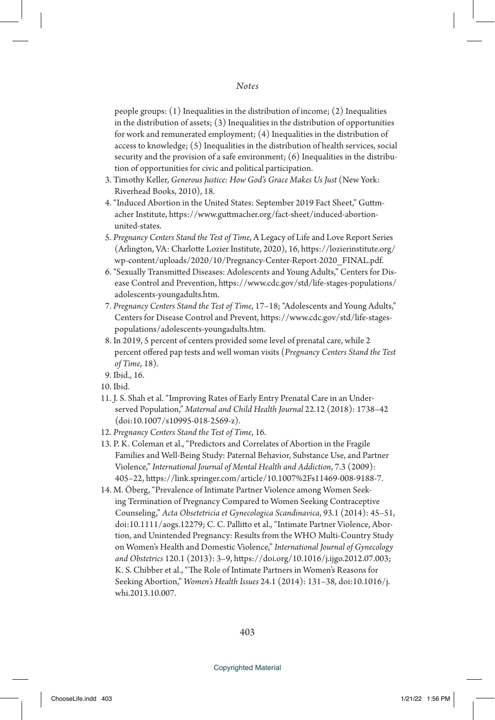people groups: (1) Inequalities in the distribution of income; (2) Inequalities in the distribution of assets; (3) Inequalities in the distribution of opportunities for work and remunerated employment; (4) Inequalities in the distribution of access to knowledge; (5) Inequalities in the distribution of health services, social security and the provision of a safe environment; (6) Inequalities in the distribution of opportunities for civic and political participation.

- 3. Timothy Keller, *Generous Justice: How God's Grace Makes Us Just* (New York: Riverhead Books, 2010), 18.
- 4. "Induced Abortion in the United States: September 2019 Fact Sheet," Guttmacher Institute, https://www.guttmacher.org/fact-sheet/induced-abortionunited-states.
- 5. *Pregnancy Centers Stand the Test of Time*, A Legacy of Life and Love Report Series (Arlington, VA: Charlotte Lozier Institute, 2020), 16, https://lozierinstitute.org/ wp-content/uploads/2020/10/Pregnancy-Center-Report-2020\_FINAL.pdf.
- 6. "Sexually Transmitted Diseases: Adolescents and Young Adults," Centers for Disease Control and Prevention, https://www.cdc.gov/std/life-stages-populations/ adolescents-youngadults.htm.
- 7. *Pregnancy Centers Stand the Test of Time*, 17–18; "Adolescents and Young Adults," Centers for Disease Control and Prevent, https://www.cdc.gov/std/life-stagespopulations/adolescents-youngadults.htm.
- 8. In 2019, 5 percent of centers provided some level of prenatal care, while 2 percent offered pap tests and well woman visits (*Pregnancy Centers Stand the Test of Time*, 18).
- 9. Ibid., 16.
- 10. Ibid.
- 11. J. S. Shah et al. "Improving Rates of Early Entry Prenatal Care in an Underserved Population," *Maternal and Child Health Journal* 22.12 (2018): 1738–42 (doi:10.1007/s10995-018-2569-z).
- 12. *Pregnancy Centers Stand the Test of Time*, 16.
- 13. P. K. Coleman et al., "Predictors and Correlates of Abortion in the Fragile Families and Well-Being Study: Paternal Behavior, Substance Use, and Partner Violence," *International Journal of Mental Health and Addiction*, 7.3 (2009): 405–22, https://link.springer.com/article/10.1007%2Fs11469-008-9188-7.
- 14. M. Öberg, "Prevalence of Intimate Partner Violence among Women Seeking Termination of Pregnancy Compared to Women Seeking Contraceptive Counseling," *Acta Obsetetricia et Gynecologica Scandinavica*, 93.1 (2014): 45–51, doi:10.1111/aogs.12279; C. C. Pallitto et al., "Intimate Partner Violence, Abortion, and Unintended Pregnancy: Results from the WHO Multi-Country Study on Women's Health and Domestic Violence," *International Journal of Gynecology and Obstetrics* 120.1 (2013): 3–9, https://doi.org/10.1016/j.ijgo.2012.07.003; K. S. Chibber et al., "The Role of Intimate Partners in Women's Reasons for Seeking Abortion," *Women's Health Issues* 24.1 (2014): 131–38, doi:10.1016/j. whi.2013.10.007.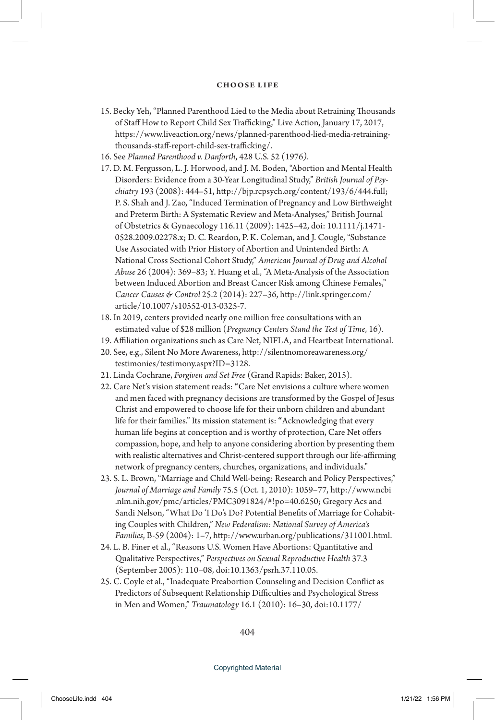- 15. Becky Yeh, "Planned Parenthood Lied to the Media about Retraining Thousands of Staff How to Report Child Sex Trafficking," Live Action, January 17, 2017, https://www.liveaction.org/news/planned-parenthood-lied-media-retrainingthousands-staff-report-child-sex-trafficking/.
- 16. See *Planned Parenthood v. Danforth*, 428 U.S. 52 (1976*)*.
- 17. D. M. Fergusson, L. J. Horwood, and J. M. Boden, "Abortion and Mental Health Disorders: Evidence from a 30-Year Longitudinal Study," *British Journal of Psychiatry* 193 (2008): 444–51, http://bjp.rcpsych.org/content/193/6/444.full; P. S. Shah and J. Zao, "Induced Termination of Pregnancy and Low Birthweight and Preterm Birth: A Systematic Review and Meta-Analyses," British Journal of Obstetrics & Gynaecology 116.11 (2009): 1425–42, doi: 10.1111/j.1471- 0528.2009.02278.x; D. C. Reardon, P. K. Coleman, and J. Cougle, "Substance Use Associated with Prior History of Abortion and Unintended Birth: A National Cross Sectional Cohort Study," *American Journal of Drug and Alcohol Abuse* 26 (2004): 369–83; Y. Huang et al., "A Meta-Analysis of the Association between Induced Abortion and Breast Cancer Risk among Chinese Females," *Cancer Causes & Control* 25.2 (2014): 227–36, http://link.springer.com/ article/10.1007/s10552-013-0325-7.
- 18. In 2019, centers provided nearly one million free consultations with an estimated value of \$28 million (*Pregnancy Centers Stand the Test of Time*, 16).
- 19. Affiliation organizations such as Care Net, NIFLA, and Heartbeat International.
- 20. See, e.g., Silent No More Awareness, http://silentnomoreawareness.org/ testimonies/testimony.aspx?ID=3128.
- 21. Linda Cochrane, *Forgiven and Set Free* (Grand Rapids: Baker, 2015).
- 22. Care Net's vision statement reads: **"**Care Net envisions a culture where women and men faced with pregnancy decisions are transformed by the Gospel of Jesus Christ and empowered to choose life for their unborn children and abundant life for their families." Its mission statement is: **"**Acknowledging that every human life begins at conception and is worthy of protection, Care Net offers compassion, hope, and help to anyone considering abortion by presenting them with realistic alternatives and Christ-centered support through our life-affirming network of pregnancy centers, churches, organizations, and individuals."
- 23. S. L. Brown, "Marriage and Child Well-being: Research and Policy Perspectives," *Journal of Marriage and Family* 75.5 (Oct. 1, 2010): 1059–77, http://www.ncbi .nlm.nih.gov/pmc/articles/PMC3091824/#!po=40.6250; Gregory Acs and Sandi Nelson, "What Do 'I Do's Do? Potential Benefits of Marriage for Cohabiting Couples with Children," *New Federalism: National Survey of America's Families*, B-59 (2004): 1–7, http://www.urban.org/publications/311001.html.
- 24. L. B. Finer et al., "Reasons U.S. Women Have Abortions: Quantitative and Qualitative Perspectives," *Perspectives on Sexual Reproductive Health* 37.3 (September 2005): 110–08, doi:10.1363/psrh.37.110.05.
- 25. C. Coyle et al., "Inadequate Preabortion Counseling and Decision Conflict as Predictors of Subsequent Relationship Difficulties and Psychological Stress in Men and Women," *Traumatology* 16.1 (2010): 16–30, doi:10.1177/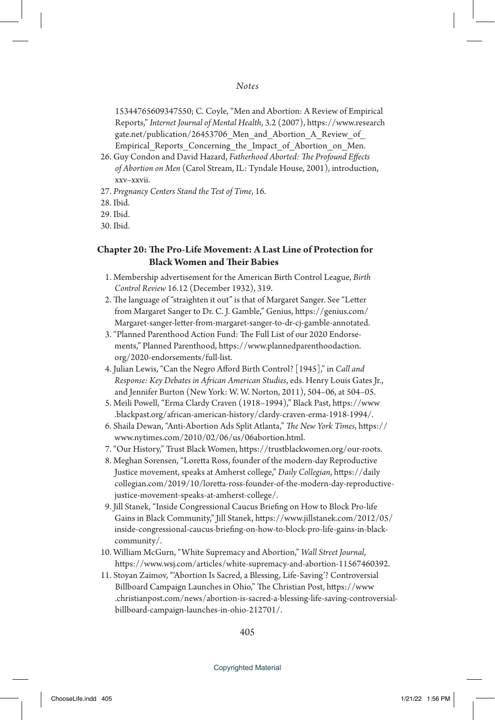15344765609347550; C. Coyle, "Men and Abortion: A Review of Empirical Reports," *Internet Journal of Mental Health*, 3.2 (2007), https://www.research gate.net/publication/26453706 Men and Abortion A Review of Empirical Reports Concerning the Impact of Abortion on Men.

- 26. Guy Condon and David Hazard, *Fatherhood Aborted: The Profound Effects of Abortion on Men* (Carol Stream, IL: Tyndale House, 2001), introduction, xxv–xxvii.
- 27. *Pregnancy Centers Stand the Test of Time*, 16.
- 28. Ibid.
- 29. Ibid.
- 30. Ibid.

## **Chapter 20: The Pro-Life Movement: A Last Line of Protection for Black Women and Their Babies**

- 1. Membership advertisement for the American Birth Control League, *Birth Control Review* 16.12 (December 1932), 319.
- 2. The language of "straighten it out" is that of Margaret Sanger. See "Letter from Margaret Sanger to Dr. C. J. Gamble," Genius, https://genius.com/ Margaret-sanger-letter-from-margaret-sanger-to-dr-cj-gamble-annotated.
- 3. "Planned Parenthood Action Fund: The Full List of our 2020 Endorsements," Planned Parenthood, https://www.plannedparenthoodaction. org/2020-endorsements/full-list.
- 4. Julian Lewis, "Can the Negro Afford Birth Control? [1945]," in *Call and Response: Key Debates in African American Studies*, eds. Henry Louis Gates Jr., and Jennifer Burton (New York: W. W. Norton, 2011), 504–06, at 504–05.
- 5. Meili Powell, "Erma Clardy Craven (1918–1994)," Black Past, https://www .blackpast.org/african-american-history/clardy-craven-erma-1918-1994/.
- 6. Shaila Dewan, "Anti-Abortion Ads Split Atlanta," *The New York Times*, https:// www.nytimes.com/2010/02/06/us/06abortion.html.
- 7. "Our History," Trust Black Women, https://trustblackwomen.org/our-roots.
- 8. Meghan Sorensen, "Loretta Ross, founder of the modern-day Reproductive Justice movement, speaks at Amherst college," *Daily Collegian*, https://daily collegian.com/2019/10/loretta-ross-founder-of-the-modern-day-reproductivejustice-movement-speaks-at-amherst-college/.
- 9. Jill Stanek, "Inside Congressional Caucus Briefing on How to Block Pro-life Gains in Black Community," Jill Stanek, https://www.jillstanek.com/2012/05/ inside-congressional-caucus-briefing-on-how-to-block-pro-life-gains-in-blackcommunity/.
- 10. William McGurn, "White Supremacy and Abortion," *Wall Street Journal*, https://www.wsj.com/articles/white-supremacy-and-abortion-11567460392.
- 11. Stoyan Zaimov, "'Abortion Is Sacred, a Blessing, Life-Saving'? Controversial Billboard Campaign Launches in Ohio," The Christian Post, https://www .christianpost.com/news/abortion-is-sacred-a-blessing-life-saving-controversialbillboard-campaign-launches-in-ohio-212701/.

405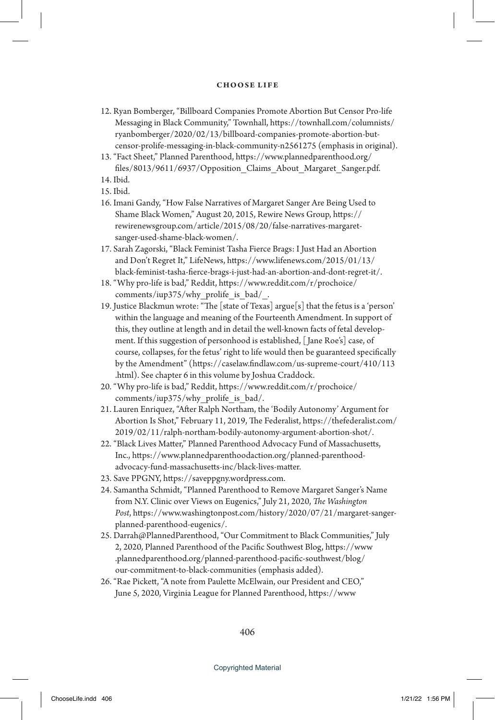- 12. Ryan Bomberger, "Billboard Companies Promote Abortion But Censor Pro-life Messaging in Black Community," Townhall, https://townhall.com/columnists/ ryanbomberger/2020/02/13/billboard-companies-promote-abortion-butcensor-prolife-messaging-in-black-community-n2561275 (emphasis in original).
- 13. "Fact Sheet," Planned Parenthood, https://www.plannedparenthood.org/ files/8013/9611/6937/Opposition\_Claims\_About\_Margaret\_Sanger.pdf.
- 14. Ibid.
- 15. Ibid.
- 16. Imani Gandy, "How False Narratives of Margaret Sanger Are Being Used to Shame Black Women," August 20, 2015, Rewire News Group, https:// rewirenewsgroup.com/article/2015/08/20/false-narratives-margaretsanger-used-shame-black-women/.
- 17. Sarah Zagorski, "Black Feminist Tasha Fierce Brags: I Just Had an Abortion and Don't Regret It," LifeNews, https://www.lifenews.com/2015/01/13/ black-feminist-tasha-fierce-brags-i-just-had-an-abortion-and-dont-regret-it/.
- 18. "Why pro-life is bad," Reddit, https://www.reddit.com/r/prochoice/ comments/iup375/why\_prolife\_is\_bad/\_.
- 19. Justice Blackmun wrote: "The [state of Texas] argue[s] that the fetus is a 'person' within the language and meaning of the Fourteenth Amendment. In support of this, they outline at length and in detail the well-known facts of fetal development. If this suggestion of personhood is established, [ Jane Roe's] case, of course, collapses, for the fetus' right to life would then be guaranteed specifically by the Amendment" (https://caselaw.findlaw.com/us-supreme-court/410/113 .html). See chapter 6 in this volume by Joshua Craddock.
- 20. "Why pro-life is bad," Reddit, https://www.reddit.com/r/prochoice/ comments/iup375/why\_prolife\_is\_bad/.
- 21. Lauren Enriquez, "After Ralph Northam, the 'Bodily Autonomy' Argument for Abortion Is Shot," February 11, 2019, The Federalist, https://thefederalist.com/ 2019/02/11/ralph-northam-bodily-autonomy-argument-abortion-shot/.
- 22. "Black Lives Matter," Planned Parenthood Advocacy Fund of Massachusetts, Inc., https://www.plannedparenthoodaction.org/planned-parenthoodadvocacy-fund-massachusetts-inc/black-lives-matter.
- 23. Save PPGNY, https://saveppgny.wordpress.com.
- 24. Samantha Schmidt, "Planned Parenthood to Remove Margaret Sanger's Name from N.Y. Clinic over Views on Eugenics," July 21, 2020, *The Washington Post*, https://www.washingtonpost.com/history/2020/07/21/margaret-sangerplanned-parenthood-eugenics/.
- 25. Darrah@PlannedParenthood, "Our Commitment to Black Communities," July 2, 2020, Planned Parenthood of the Pacific Southwest Blog, https://www .plannedparenthood.org/planned-parenthood-pacific-southwest/blog/ our-commitment-to-black-communities (emphasis added).
- 26. "Rae Pickett, "A note from Paulette McElwain, our President and CEO," June 5, 2020, Virginia League for Planned Parenthood, https://www